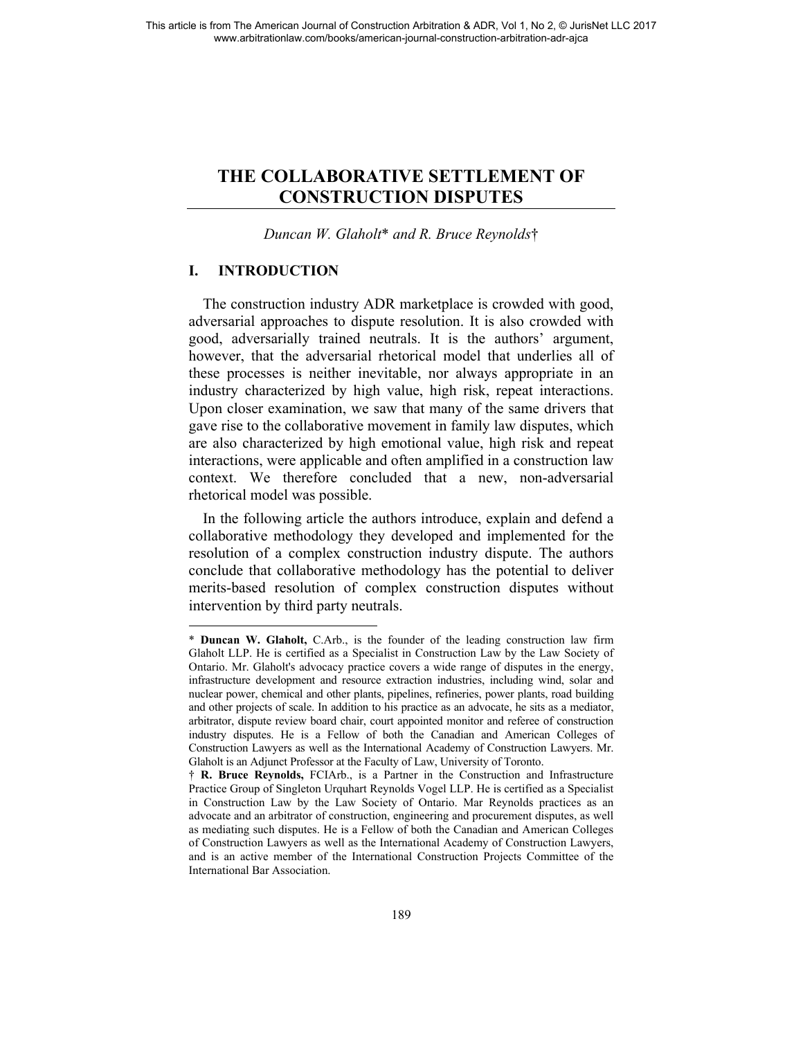*Duncan W. Glaholt*\* *and R. Bruce Reynolds*†

### **I. INTRODUCTION**

-

The construction industry ADR marketplace is crowded with good, adversarial approaches to dispute resolution. It is also crowded with good, adversarially trained neutrals. It is the authors' argument, however, that the adversarial rhetorical model that underlies all of these processes is neither inevitable, nor always appropriate in an industry characterized by high value, high risk, repeat interactions. Upon closer examination, we saw that many of the same drivers that gave rise to the collaborative movement in family law disputes, which are also characterized by high emotional value, high risk and repeat interactions, were applicable and often amplified in a construction law context. We therefore concluded that a new, non-adversarial rhetorical model was possible.

In the following article the authors introduce, explain and defend a collaborative methodology they developed and implemented for the resolution of a complex construction industry dispute. The authors conclude that collaborative methodology has the potential to deliver merits-based resolution of complex construction disputes without intervention by third party neutrals.

<sup>\*</sup> **Duncan W. Glaholt,** C.Arb., is the founder of the leading construction law firm Glaholt LLP. He is certified as a Specialist in Construction Law by the Law Society of Ontario. Mr. Glaholt's advocacy practice covers a wide range of disputes in the energy, infrastructure development and resource extraction industries, including wind, solar and nuclear power, chemical and other plants, pipelines, refineries, power plants, road building and other projects of scale. In addition to his practice as an advocate, he sits as a mediator, arbitrator, dispute review board chair, court appointed monitor and referee of construction industry disputes. He is a Fellow of both the Canadian and American Colleges of Construction Lawyers as well as the International Academy of Construction Lawyers. Mr. Glaholt is an Adjunct Professor at the Faculty of Law, University of Toronto.

<sup>†</sup> **R. Bruce Reynolds,** FCIArb., is a Partner in the Construction and Infrastructure Practice Group of Singleton Urquhart Reynolds Vogel LLP. He is certified as a Specialist in Construction Law by the Law Society of Ontario. Mar Reynolds practices as an advocate and an arbitrator of construction, engineering and procurement disputes, as well as mediating such disputes. He is a Fellow of both the Canadian and American Colleges of Construction Lawyers as well as the International Academy of Construction Lawyers, and is an active member of the International Construction Projects Committee of the International Bar Association.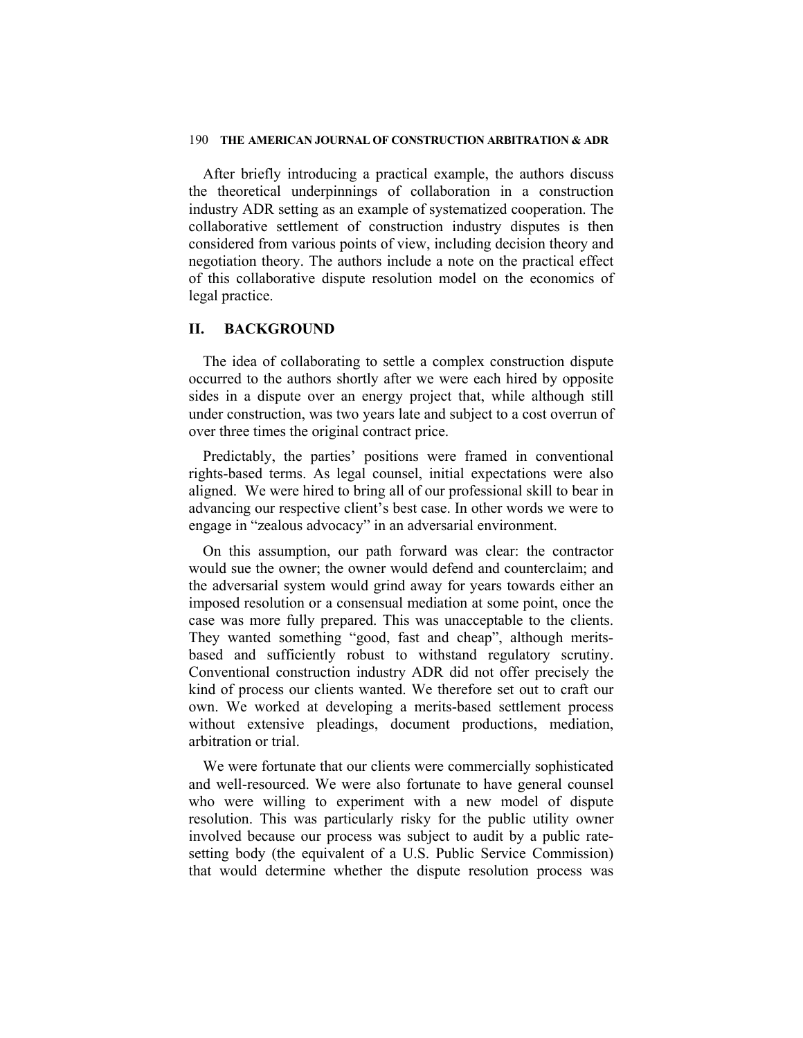After briefly introducing a practical example, the authors discuss the theoretical underpinnings of collaboration in a construction industry ADR setting as an example of systematized cooperation. The collaborative settlement of construction industry disputes is then considered from various points of view, including decision theory and negotiation theory. The authors include a note on the practical effect of this collaborative dispute resolution model on the economics of legal practice.

## **II. BACKGROUND**

The idea of collaborating to settle a complex construction dispute occurred to the authors shortly after we were each hired by opposite sides in a dispute over an energy project that, while although still under construction, was two years late and subject to a cost overrun of over three times the original contract price.

Predictably, the parties' positions were framed in conventional rights-based terms. As legal counsel, initial expectations were also aligned. We were hired to bring all of our professional skill to bear in advancing our respective client's best case. In other words we were to engage in "zealous advocacy" in an adversarial environment.

On this assumption, our path forward was clear: the contractor would sue the owner; the owner would defend and counterclaim; and the adversarial system would grind away for years towards either an imposed resolution or a consensual mediation at some point, once the case was more fully prepared. This was unacceptable to the clients. They wanted something "good, fast and cheap", although meritsbased and sufficiently robust to withstand regulatory scrutiny. Conventional construction industry ADR did not offer precisely the kind of process our clients wanted. We therefore set out to craft our own. We worked at developing a merits-based settlement process without extensive pleadings, document productions, mediation, arbitration or trial.

We were fortunate that our clients were commercially sophisticated and well-resourced. We were also fortunate to have general counsel who were willing to experiment with a new model of dispute resolution. This was particularly risky for the public utility owner involved because our process was subject to audit by a public ratesetting body (the equivalent of a U.S. Public Service Commission) that would determine whether the dispute resolution process was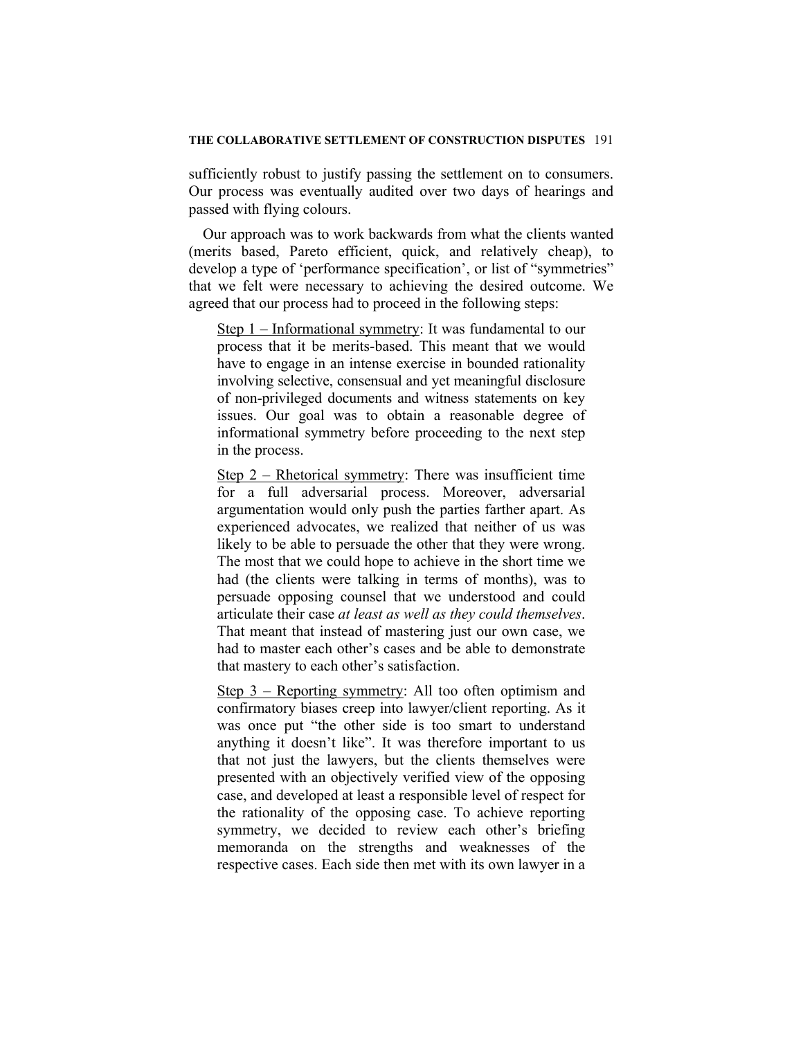sufficiently robust to justify passing the settlement on to consumers. Our process was eventually audited over two days of hearings and passed with flying colours.

Our approach was to work backwards from what the clients wanted (merits based, Pareto efficient, quick, and relatively cheap), to develop a type of 'performance specification', or list of "symmetries" that we felt were necessary to achieving the desired outcome. We agreed that our process had to proceed in the following steps:

Step 1 – Informational symmetry: It was fundamental to our process that it be merits-based. This meant that we would have to engage in an intense exercise in bounded rationality involving selective, consensual and yet meaningful disclosure of non-privileged documents and witness statements on key issues. Our goal was to obtain a reasonable degree of informational symmetry before proceeding to the next step in the process.

Step 2 – Rhetorical symmetry: There was insufficient time for a full adversarial process. Moreover, adversarial argumentation would only push the parties farther apart. As experienced advocates, we realized that neither of us was likely to be able to persuade the other that they were wrong. The most that we could hope to achieve in the short time we had (the clients were talking in terms of months), was to persuade opposing counsel that we understood and could articulate their case *at least as well as they could themselves*. That meant that instead of mastering just our own case, we had to master each other's cases and be able to demonstrate that mastery to each other's satisfaction.

Step 3 – Reporting symmetry: All too often optimism and confirmatory biases creep into lawyer/client reporting. As it was once put "the other side is too smart to understand anything it doesn't like". It was therefore important to us that not just the lawyers, but the clients themselves were presented with an objectively verified view of the opposing case, and developed at least a responsible level of respect for the rationality of the opposing case. To achieve reporting symmetry, we decided to review each other's briefing memoranda on the strengths and weaknesses of the respective cases. Each side then met with its own lawyer in a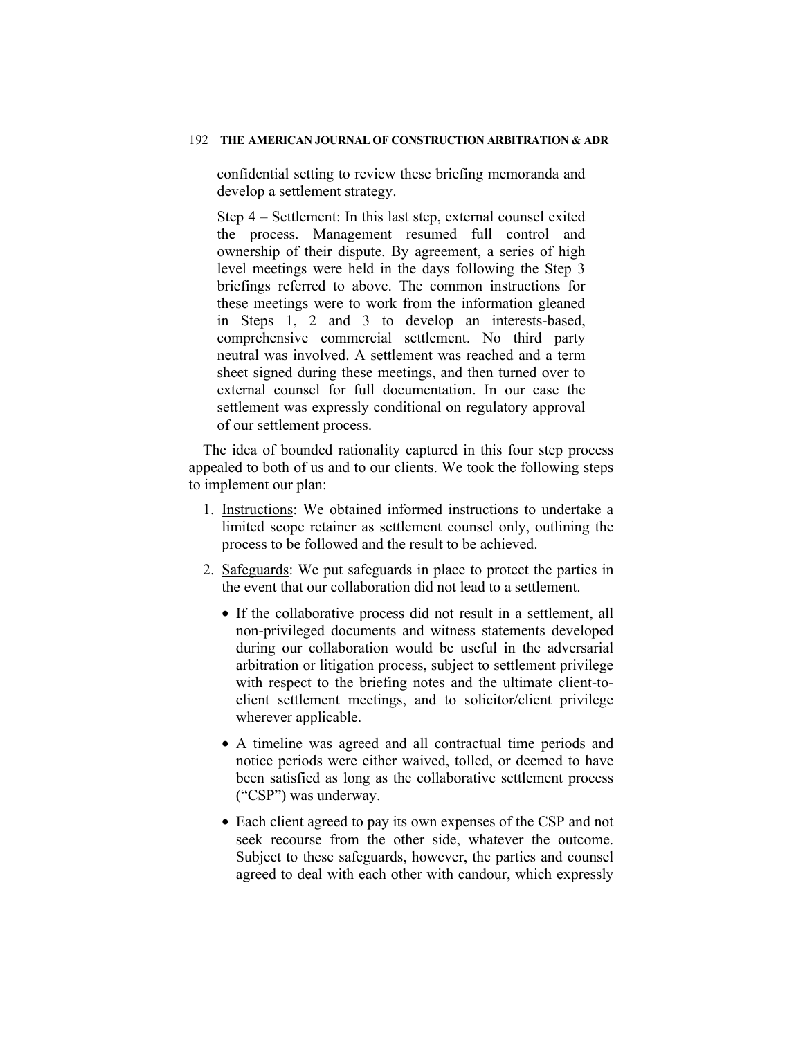confidential setting to review these briefing memoranda and develop a settlement strategy.

Step 4 – Settlement: In this last step, external counsel exited the process. Management resumed full control and ownership of their dispute. By agreement, a series of high level meetings were held in the days following the Step 3 briefings referred to above. The common instructions for these meetings were to work from the information gleaned in Steps 1, 2 and 3 to develop an interests-based, comprehensive commercial settlement. No third party neutral was involved. A settlement was reached and a term sheet signed during these meetings, and then turned over to external counsel for full documentation. In our case the settlement was expressly conditional on regulatory approval of our settlement process.

The idea of bounded rationality captured in this four step process appealed to both of us and to our clients. We took the following steps to implement our plan:

- 1. Instructions: We obtained informed instructions to undertake a limited scope retainer as settlement counsel only, outlining the process to be followed and the result to be achieved.
- 2. Safeguards: We put safeguards in place to protect the parties in the event that our collaboration did not lead to a settlement.
	- If the collaborative process did not result in a settlement, all non-privileged documents and witness statements developed during our collaboration would be useful in the adversarial arbitration or litigation process, subject to settlement privilege with respect to the briefing notes and the ultimate client-toclient settlement meetings, and to solicitor/client privilege wherever applicable.
	- A timeline was agreed and all contractual time periods and notice periods were either waived, tolled, or deemed to have been satisfied as long as the collaborative settlement process ("CSP") was underway.
	- Each client agreed to pay its own expenses of the CSP and not seek recourse from the other side, whatever the outcome. Subject to these safeguards, however, the parties and counsel agreed to deal with each other with candour, which expressly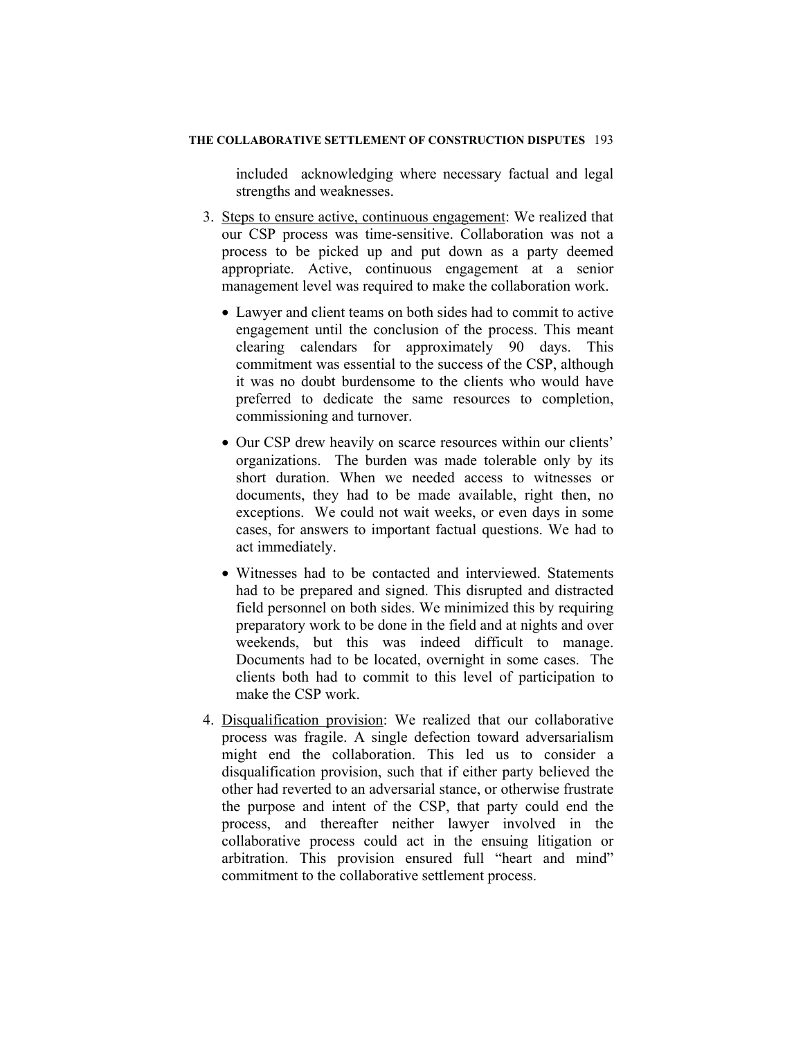included acknowledging where necessary factual and legal strengths and weaknesses.

- 3. Steps to ensure active, continuous engagement: We realized that our CSP process was time-sensitive. Collaboration was not a process to be picked up and put down as a party deemed appropriate. Active, continuous engagement at a senior management level was required to make the collaboration work.
	- Lawyer and client teams on both sides had to commit to active engagement until the conclusion of the process. This meant clearing calendars for approximately 90 days. This commitment was essential to the success of the CSP, although it was no doubt burdensome to the clients who would have preferred to dedicate the same resources to completion, commissioning and turnover.
	- Our CSP drew heavily on scarce resources within our clients' organizations. The burden was made tolerable only by its short duration. When we needed access to witnesses or documents, they had to be made available, right then, no exceptions. We could not wait weeks, or even days in some cases, for answers to important factual questions. We had to act immediately.
	- Witnesses had to be contacted and interviewed. Statements had to be prepared and signed. This disrupted and distracted field personnel on both sides. We minimized this by requiring preparatory work to be done in the field and at nights and over weekends, but this was indeed difficult to manage. Documents had to be located, overnight in some cases. The clients both had to commit to this level of participation to make the CSP work.
- 4. Disqualification provision: We realized that our collaborative process was fragile. A single defection toward adversarialism might end the collaboration. This led us to consider a disqualification provision, such that if either party believed the other had reverted to an adversarial stance, or otherwise frustrate the purpose and intent of the CSP, that party could end the process, and thereafter neither lawyer involved in the collaborative process could act in the ensuing litigation or arbitration. This provision ensured full "heart and mind" commitment to the collaborative settlement process.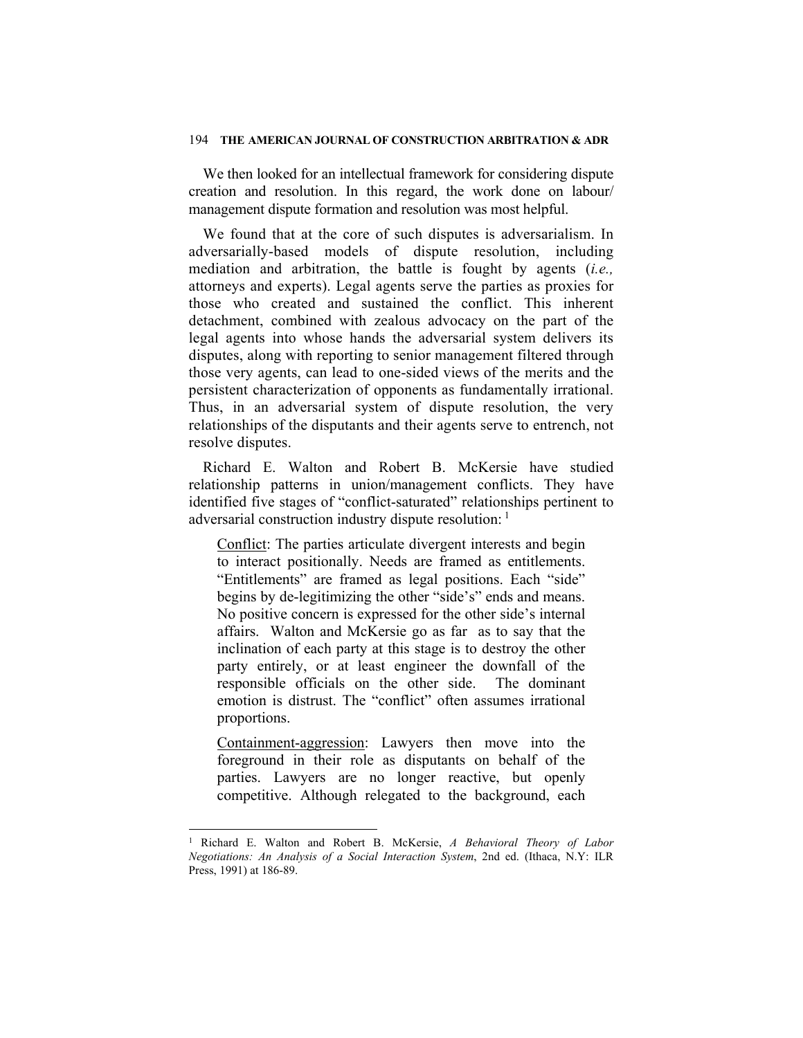We then looked for an intellectual framework for considering dispute creation and resolution. In this regard, the work done on labour/ management dispute formation and resolution was most helpful.

We found that at the core of such disputes is adversarialism. In adversarially-based models of dispute resolution, including mediation and arbitration, the battle is fought by agents (*i.e.,*  attorneys and experts). Legal agents serve the parties as proxies for those who created and sustained the conflict. This inherent detachment, combined with zealous advocacy on the part of the legal agents into whose hands the adversarial system delivers its disputes, along with reporting to senior management filtered through those very agents, can lead to one-sided views of the merits and the persistent characterization of opponents as fundamentally irrational. Thus, in an adversarial system of dispute resolution, the very relationships of the disputants and their agents serve to entrench, not resolve disputes.

Richard E. Walton and Robert B. McKersie have studied relationship patterns in union/management conflicts. They have identified five stages of "conflict-saturated" relationships pertinent to adversarial construction industry dispute resolution: <sup>1</sup>

Conflict: The parties articulate divergent interests and begin to interact positionally. Needs are framed as entitlements. "Entitlements" are framed as legal positions. Each "side" begins by de-legitimizing the other "side's" ends and means. No positive concern is expressed for the other side's internal affairs. Walton and McKersie go as far as to say that the inclination of each party at this stage is to destroy the other party entirely, or at least engineer the downfall of the responsible officials on the other side. The dominant emotion is distrust. The "conflict" often assumes irrational proportions.

Containment-aggression: Lawyers then move into the foreground in their role as disputants on behalf of the parties. Lawyers are no longer reactive, but openly competitive. Although relegated to the background, each

<sup>1</sup> Richard E. Walton and Robert B. McKersie, *A Behavioral Theory of Labor Negotiations: An Analysis of a Social Interaction System*, 2nd ed. (Ithaca, N.Y: ILR Press, 1991) at 186-89.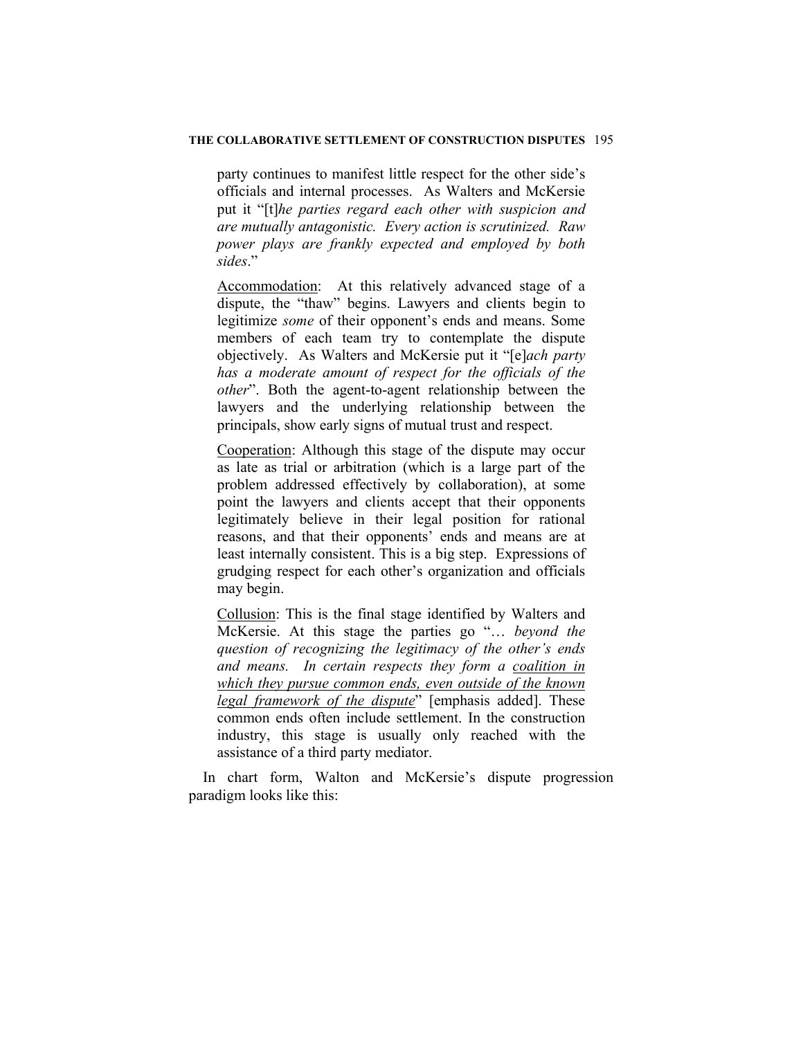party continues to manifest little respect for the other side's officials and internal processes. As Walters and McKersie put it "[t]*he parties regard each other with suspicion and are mutually antagonistic. Every action is scrutinized. Raw power plays are frankly expected and employed by both sides*."

Accommodation: At this relatively advanced stage of a dispute, the "thaw" begins. Lawyers and clients begin to legitimize *some* of their opponent's ends and means. Some members of each team try to contemplate the dispute objectively. As Walters and McKersie put it "[e]*ach party has a moderate amount of respect for the officials of the other*". Both the agent-to-agent relationship between the lawyers and the underlying relationship between the principals, show early signs of mutual trust and respect.

Cooperation: Although this stage of the dispute may occur as late as trial or arbitration (which is a large part of the problem addressed effectively by collaboration), at some point the lawyers and clients accept that their opponents legitimately believe in their legal position for rational reasons, and that their opponents' ends and means are at least internally consistent. This is a big step. Expressions of grudging respect for each other's organization and officials may begin.

Collusion: This is the final stage identified by Walters and McKersie. At this stage the parties go "… *beyond the question of recognizing the legitimacy of the other's ends and means. In certain respects they form a coalition in which they pursue common ends, even outside of the known legal framework of the dispute*" [emphasis added]. These common ends often include settlement. In the construction industry, this stage is usually only reached with the assistance of a third party mediator.

In chart form, Walton and McKersie's dispute progression paradigm looks like this: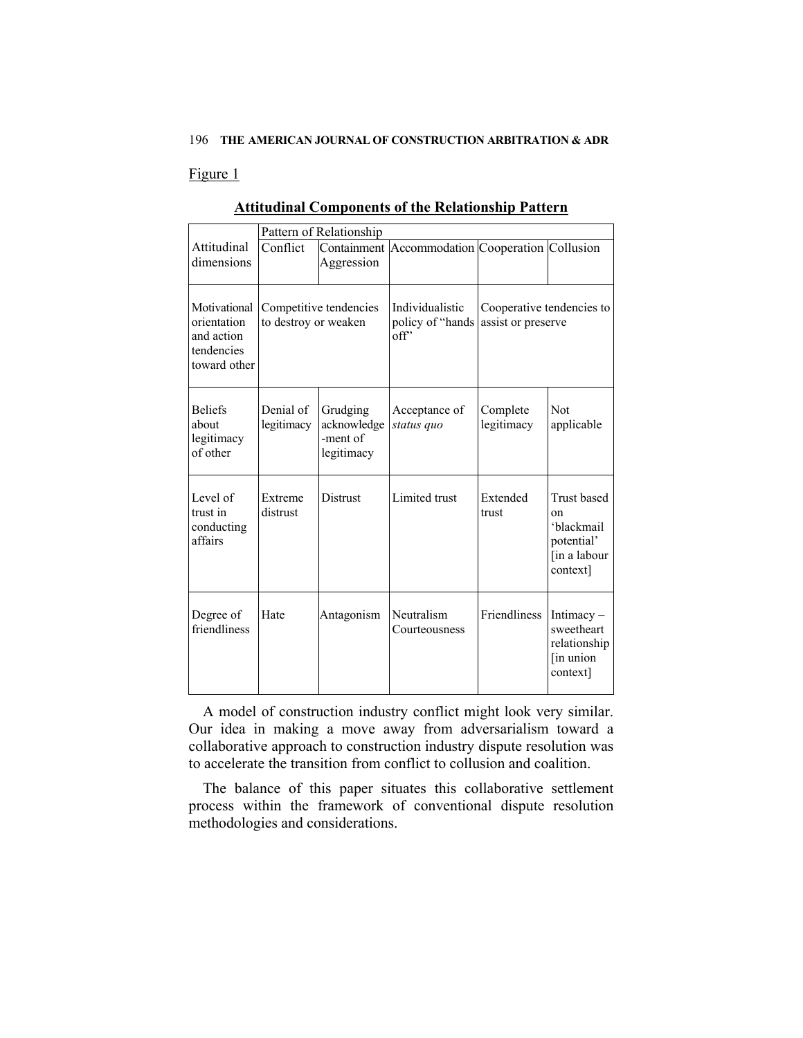### Figure 1

|                                                                         | Pattern of Relationship                        |                                                   |                                                 |                                                 |                                                                                     |
|-------------------------------------------------------------------------|------------------------------------------------|---------------------------------------------------|-------------------------------------------------|-------------------------------------------------|-------------------------------------------------------------------------------------|
| Attitudinal<br>dimensions                                               | Conflict                                       | Aggression                                        | Containment Accommodation Cooperation Collusion |                                                 |                                                                                     |
| Motivational<br>orientation<br>and action<br>tendencies<br>toward other | Competitive tendencies<br>to destroy or weaken |                                                   | Individualistic<br>policy of "hands<br>off'     | Cooperative tendencies to<br>assist or preserve |                                                                                     |
| <b>Beliefs</b><br>about<br>legitimacy<br>of other                       | Denial of<br>legitimacy                        | Grudging<br>acknowledge<br>-ment of<br>legitimacy | Acceptance of<br>status quo                     | Complete<br>legitimacy                          | <b>Not</b><br>applicable                                                            |
| Level of<br>trust in<br>conducting<br>affairs                           | Extreme<br>distrust                            | <b>Distrust</b>                                   | Limited trust                                   | Extended<br>trust                               | Trust based<br><sub>on</sub><br>'blackmail<br>potential'<br>[in a labour<br>context |
| Degree of<br>friendliness                                               | Hate                                           | Antagonism                                        | Neutralism<br>Courteousness                     | Friendliness                                    | Intimacy $-$<br>sweetheart<br>relationship<br>[in union<br>context]                 |

### **Attitudinal Components of the Relationship Pattern**

A model of construction industry conflict might look very similar. Our idea in making a move away from adversarialism toward a collaborative approach to construction industry dispute resolution was to accelerate the transition from conflict to collusion and coalition.

The balance of this paper situates this collaborative settlement process within the framework of conventional dispute resolution methodologies and considerations.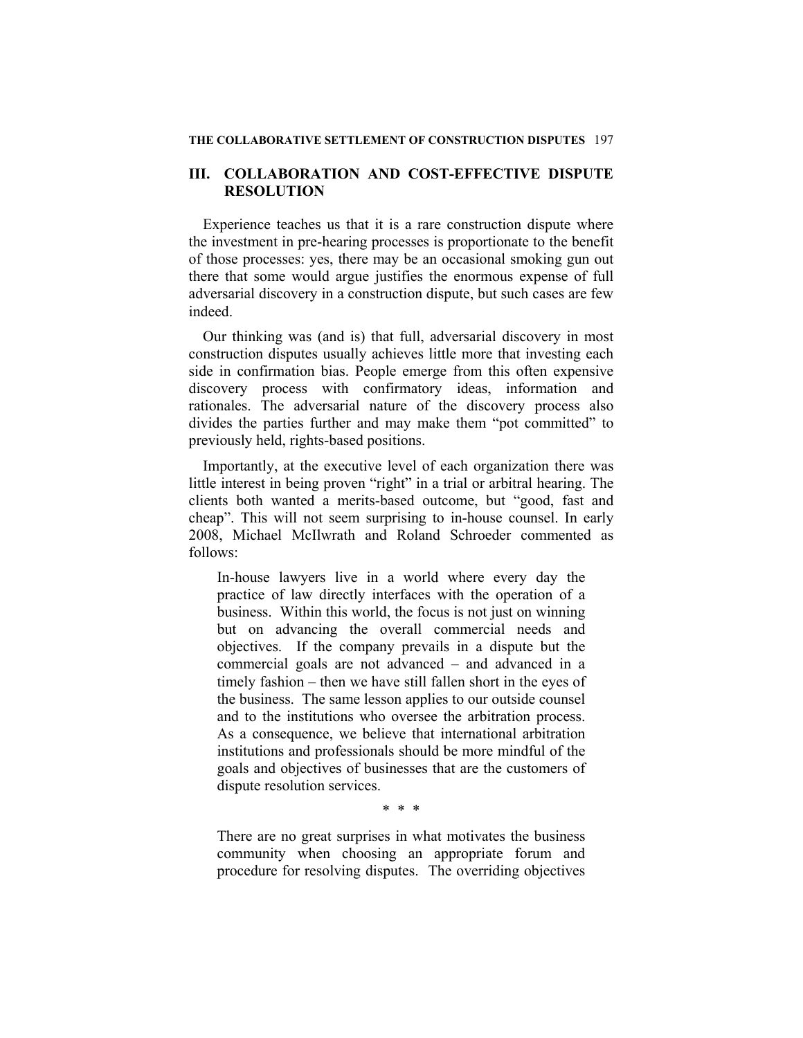## **III. COLLABORATION AND COST-EFFECTIVE DISPUTE RESOLUTION**

Experience teaches us that it is a rare construction dispute where the investment in pre-hearing processes is proportionate to the benefit of those processes: yes, there may be an occasional smoking gun out there that some would argue justifies the enormous expense of full adversarial discovery in a construction dispute, but such cases are few indeed.

Our thinking was (and is) that full, adversarial discovery in most construction disputes usually achieves little more that investing each side in confirmation bias. People emerge from this often expensive discovery process with confirmatory ideas, information and rationales. The adversarial nature of the discovery process also divides the parties further and may make them "pot committed" to previously held, rights-based positions.

Importantly, at the executive level of each organization there was little interest in being proven "right" in a trial or arbitral hearing. The clients both wanted a merits-based outcome, but "good, fast and cheap". This will not seem surprising to in-house counsel. In early 2008, Michael McIlwrath and Roland Schroeder commented as follows:

In-house lawyers live in a world where every day the practice of law directly interfaces with the operation of a business. Within this world, the focus is not just on winning but on advancing the overall commercial needs and objectives. If the company prevails in a dispute but the commercial goals are not advanced – and advanced in a timely fashion – then we have still fallen short in the eyes of the business. The same lesson applies to our outside counsel and to the institutions who oversee the arbitration process. As a consequence, we believe that international arbitration institutions and professionals should be more mindful of the goals and objectives of businesses that are the customers of dispute resolution services.

\* \* \*

There are no great surprises in what motivates the business community when choosing an appropriate forum and procedure for resolving disputes. The overriding objectives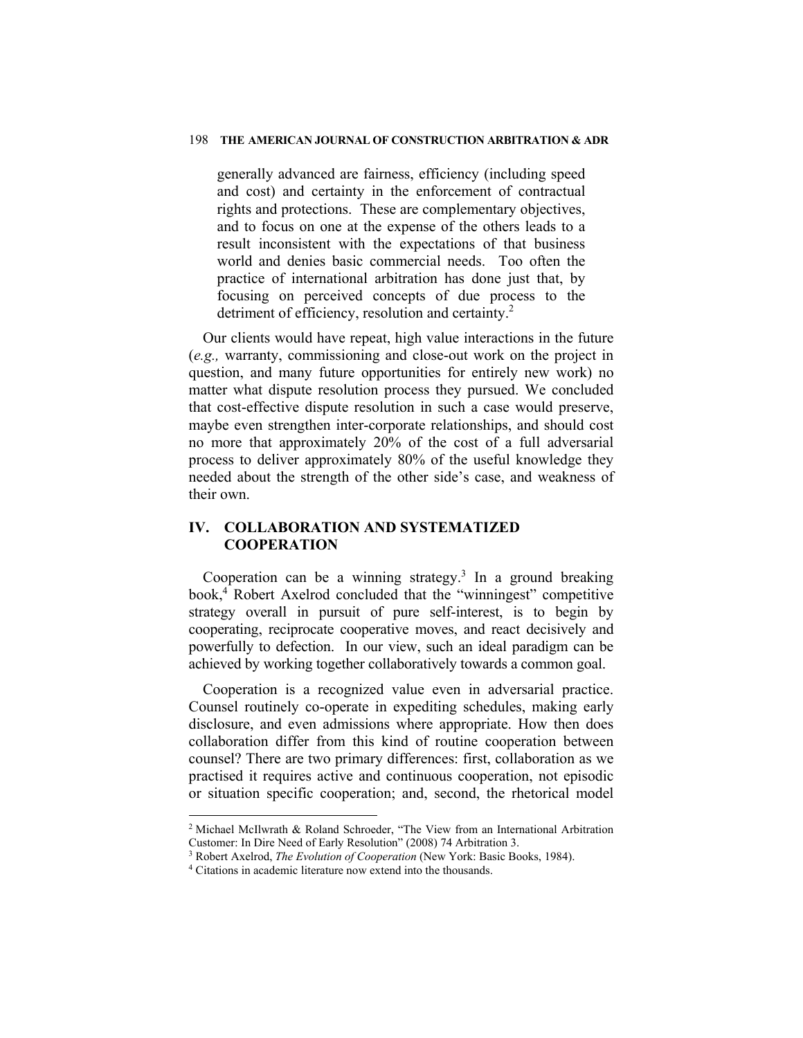generally advanced are fairness, efficiency (including speed and cost) and certainty in the enforcement of contractual rights and protections. These are complementary objectives, and to focus on one at the expense of the others leads to a result inconsistent with the expectations of that business world and denies basic commercial needs. Too often the practice of international arbitration has done just that, by focusing on perceived concepts of due process to the detriment of efficiency, resolution and certainty.<sup>2</sup>

Our clients would have repeat, high value interactions in the future (*e.g.,* warranty, commissioning and close-out work on the project in question, and many future opportunities for entirely new work) no matter what dispute resolution process they pursued. We concluded that cost-effective dispute resolution in such a case would preserve, maybe even strengthen inter-corporate relationships, and should cost no more that approximately 20% of the cost of a full adversarial process to deliver approximately 80% of the useful knowledge they needed about the strength of the other side's case, and weakness of their own.

## **IV. COLLABORATION AND SYSTEMATIZED COOPERATION**

Cooperation can be a winning strategy.<sup>3</sup> In a ground breaking book,<sup>4</sup> Robert Axelrod concluded that the "winningest" competitive strategy overall in pursuit of pure self-interest, is to begin by cooperating, reciprocate cooperative moves, and react decisively and powerfully to defection. In our view, such an ideal paradigm can be achieved by working together collaboratively towards a common goal.

Cooperation is a recognized value even in adversarial practice. Counsel routinely co-operate in expediting schedules, making early disclosure, and even admissions where appropriate. How then does collaboration differ from this kind of routine cooperation between counsel? There are two primary differences: first, collaboration as we practised it requires active and continuous cooperation, not episodic or situation specific cooperation; and, second, the rhetorical model

-

<sup>2</sup> Michael McIlwrath & Roland Schroeder, "The View from an International Arbitration Customer: In Dire Need of Early Resolution" (2008) 74 Arbitration 3.

<sup>3</sup> Robert Axelrod, *The Evolution of Cooperation* (New York: Basic Books, 1984). 4 Citations in academic literature now extend into the thousands.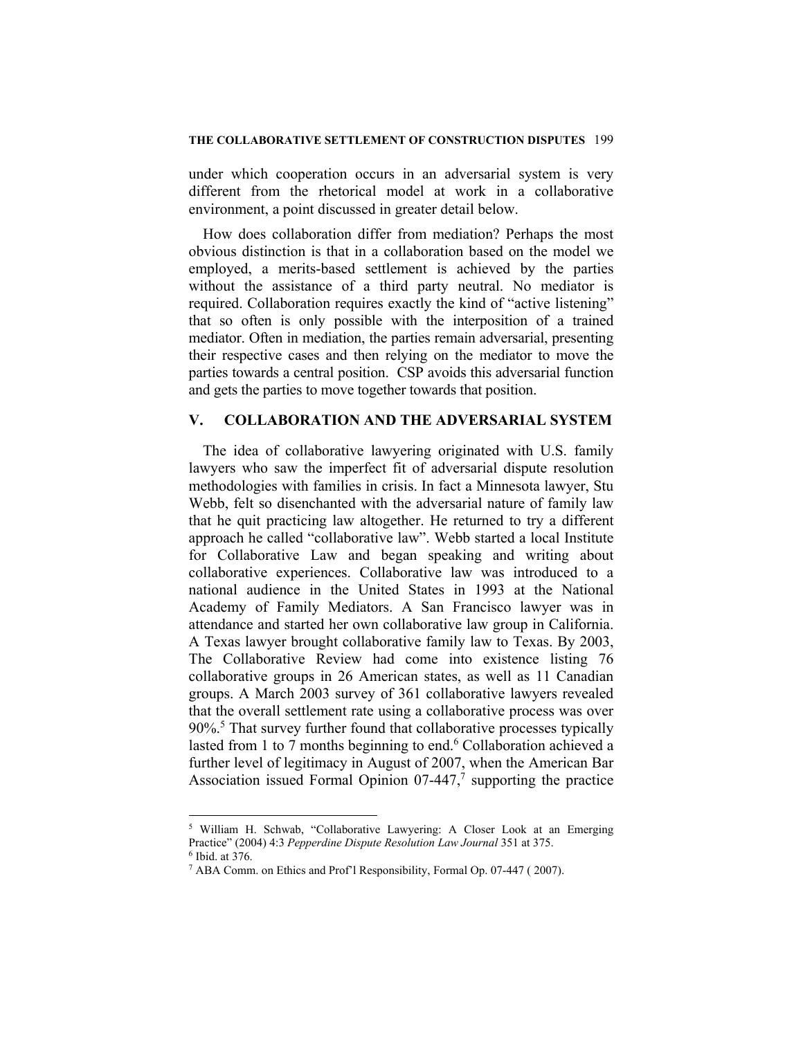under which cooperation occurs in an adversarial system is very different from the rhetorical model at work in a collaborative environment, a point discussed in greater detail below.

How does collaboration differ from mediation? Perhaps the most obvious distinction is that in a collaboration based on the model we employed, a merits-based settlement is achieved by the parties without the assistance of a third party neutral. No mediator is required. Collaboration requires exactly the kind of "active listening" that so often is only possible with the interposition of a trained mediator. Often in mediation, the parties remain adversarial, presenting their respective cases and then relying on the mediator to move the parties towards a central position. CSP avoids this adversarial function and gets the parties to move together towards that position.

### **V. COLLABORATION AND THE ADVERSARIAL SYSTEM**

The idea of collaborative lawyering originated with U.S. family lawyers who saw the imperfect fit of adversarial dispute resolution methodologies with families in crisis. In fact a Minnesota lawyer, Stu Webb, felt so disenchanted with the adversarial nature of family law that he quit practicing law altogether. He returned to try a different approach he called "collaborative law". Webb started a local Institute for Collaborative Law and began speaking and writing about collaborative experiences. Collaborative law was introduced to a national audience in the United States in 1993 at the National Academy of Family Mediators. A San Francisco lawyer was in attendance and started her own collaborative law group in California. A Texas lawyer brought collaborative family law to Texas. By 2003, The Collaborative Review had come into existence listing 76 collaborative groups in 26 American states, as well as 11 Canadian groups. A March 2003 survey of 361 collaborative lawyers revealed that the overall settlement rate using a collaborative process was over 90%.<sup>5</sup> That survey further found that collaborative processes typically lasted from 1 to 7 months beginning to end.<sup>6</sup> Collaboration achieved a further level of legitimacy in August of 2007, when the American Bar Association issued Formal Opinion  $07-447$ ,<sup>7</sup> supporting the practice

 $\overline{a}$ 

<sup>5</sup> William H. Schwab, "Collaborative Lawyering: A Closer Look at an Emerging Practice" (2004) 4:3 *Pepperdine Dispute Resolution Law Journal* 351 at 375. 6 Ibid. at 376.

<sup>7</sup> ABA Comm. on Ethics and Prof'l Responsibility, Formal Op. 07-447 ( 2007).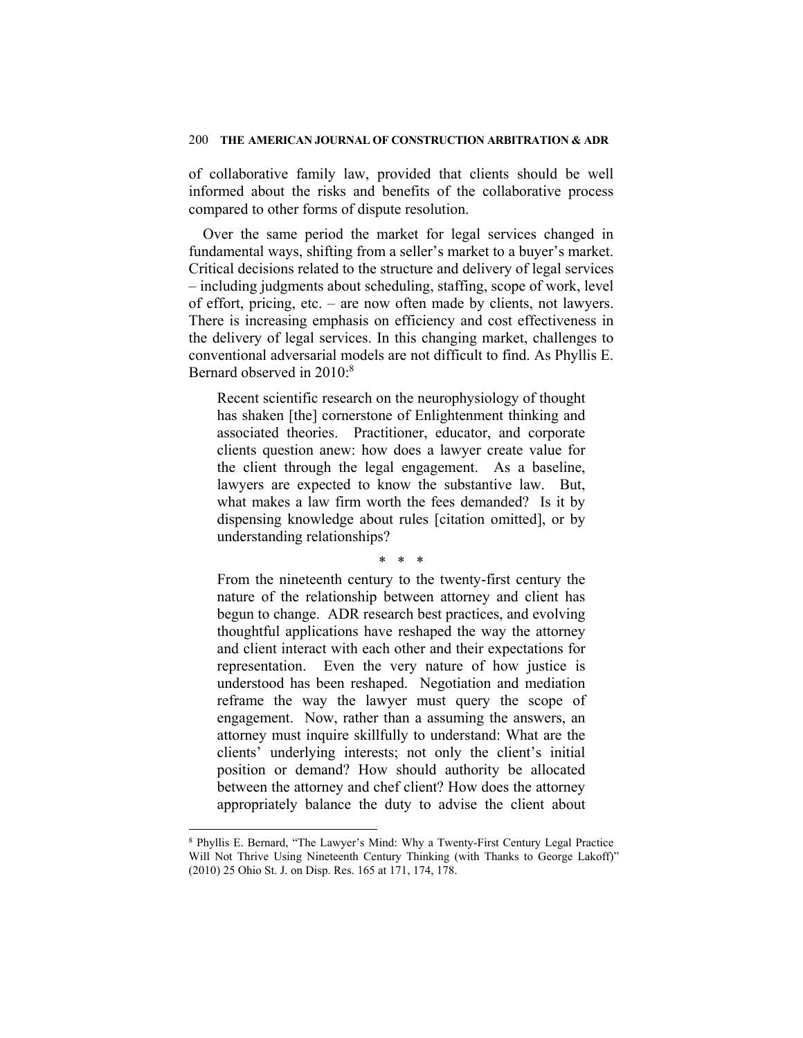of collaborative family law, provided that clients should be well informed about the risks and benefits of the collaborative process compared to other forms of dispute resolution.

Over the same period the market for legal services changed in fundamental ways, shifting from a seller's market to a buyer's market. Critical decisions related to the structure and delivery of legal services – including judgments about scheduling, staffing, scope of work, level of effort, pricing, etc. – are now often made by clients, not lawyers. There is increasing emphasis on efficiency and cost effectiveness in the delivery of legal services. In this changing market, challenges to conventional adversarial models are not difficult to find. As Phyllis E. Bernard observed in 2010:<sup>8</sup>

Recent scientific research on the neurophysiology of thought has shaken [the] cornerstone of Enlightenment thinking and associated theories. Practitioner, educator, and corporate clients question anew: how does a lawyer create value for the client through the legal engagement. As a baseline, lawyers are expected to know the substantive law. But, what makes a law firm worth the fees demanded? Is it by dispensing knowledge about rules [citation omitted], or by understanding relationships?

\* \* \*

From the nineteenth century to the twenty-first century the nature of the relationship between attorney and client has begun to change. ADR research best practices, and evolving thoughtful applications have reshaped the way the attorney and client interact with each other and their expectations for representation. Even the very nature of how justice is understood has been reshaped. Negotiation and mediation reframe the way the lawyer must query the scope of engagement. Now, rather than a assuming the answers, an attorney must inquire skillfully to understand: What are the clients' underlying interests; not only the client's initial position or demand? How should authority be allocated between the attorney and chef client? How does the attorney appropriately balance the duty to advise the client about

-

<sup>8</sup> Phyllis E. Bernard, "The Lawyer's Mind: Why a Twenty-First Century Legal Practice Will Not Thrive Using Nineteenth Century Thinking (with Thanks to George Lakoff)" (2010) 25 Ohio St. J. on Disp. Res. 165 at 171, 174, 178.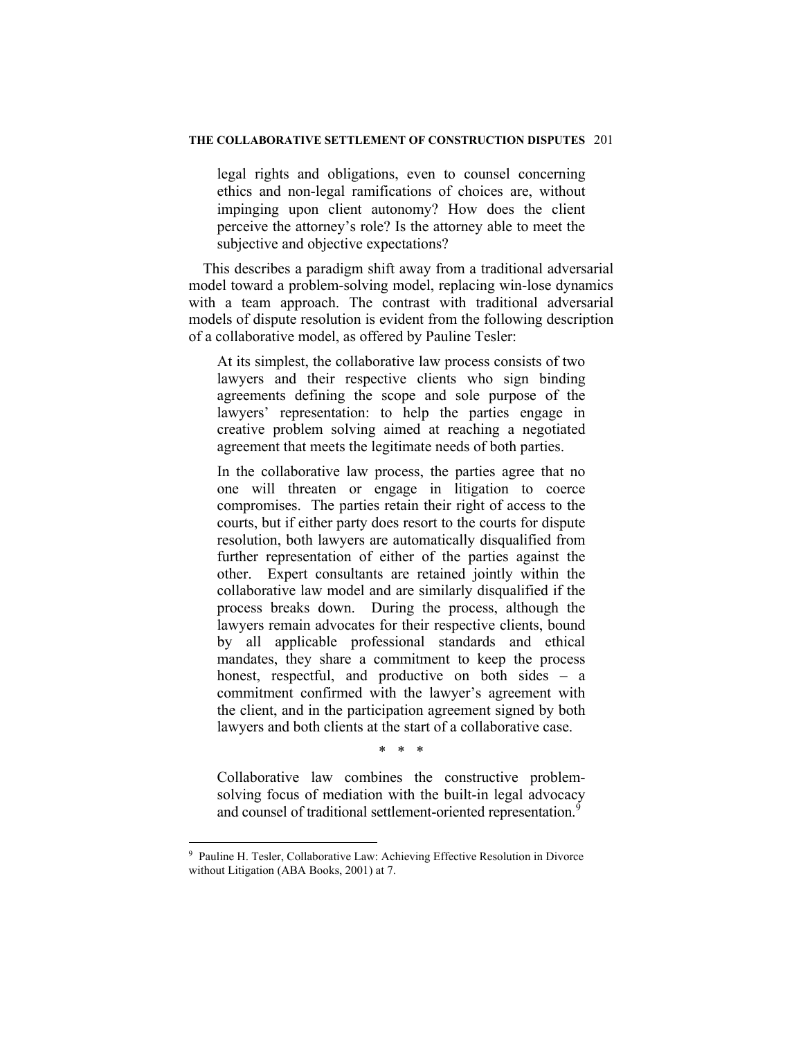legal rights and obligations, even to counsel concerning ethics and non-legal ramifications of choices are, without impinging upon client autonomy? How does the client perceive the attorney's role? Is the attorney able to meet the subjective and objective expectations?

This describes a paradigm shift away from a traditional adversarial model toward a problem-solving model, replacing win-lose dynamics with a team approach. The contrast with traditional adversarial models of dispute resolution is evident from the following description of a collaborative model, as offered by Pauline Tesler:

At its simplest, the collaborative law process consists of two lawyers and their respective clients who sign binding agreements defining the scope and sole purpose of the lawyers' representation: to help the parties engage in creative problem solving aimed at reaching a negotiated agreement that meets the legitimate needs of both parties.

In the collaborative law process, the parties agree that no one will threaten or engage in litigation to coerce compromises. The parties retain their right of access to the courts, but if either party does resort to the courts for dispute resolution, both lawyers are automatically disqualified from further representation of either of the parties against the other. Expert consultants are retained jointly within the collaborative law model and are similarly disqualified if the process breaks down. During the process, although the lawyers remain advocates for their respective clients, bound by all applicable professional standards and ethical mandates, they share a commitment to keep the process honest, respectful, and productive on both sides – a commitment confirmed with the lawyer's agreement with the client, and in the participation agreement signed by both lawyers and both clients at the start of a collaborative case.

\* \* \*

Collaborative law combines the constructive problemsolving focus of mediation with the built-in legal advocacy and counsel of traditional settlement-oriented representation.<sup>9</sup>

 $\overline{a}$ 

<sup>9</sup> Pauline H. Tesler, Collaborative Law: Achieving Effective Resolution in Divorce without Litigation (ABA Books, 2001) at 7.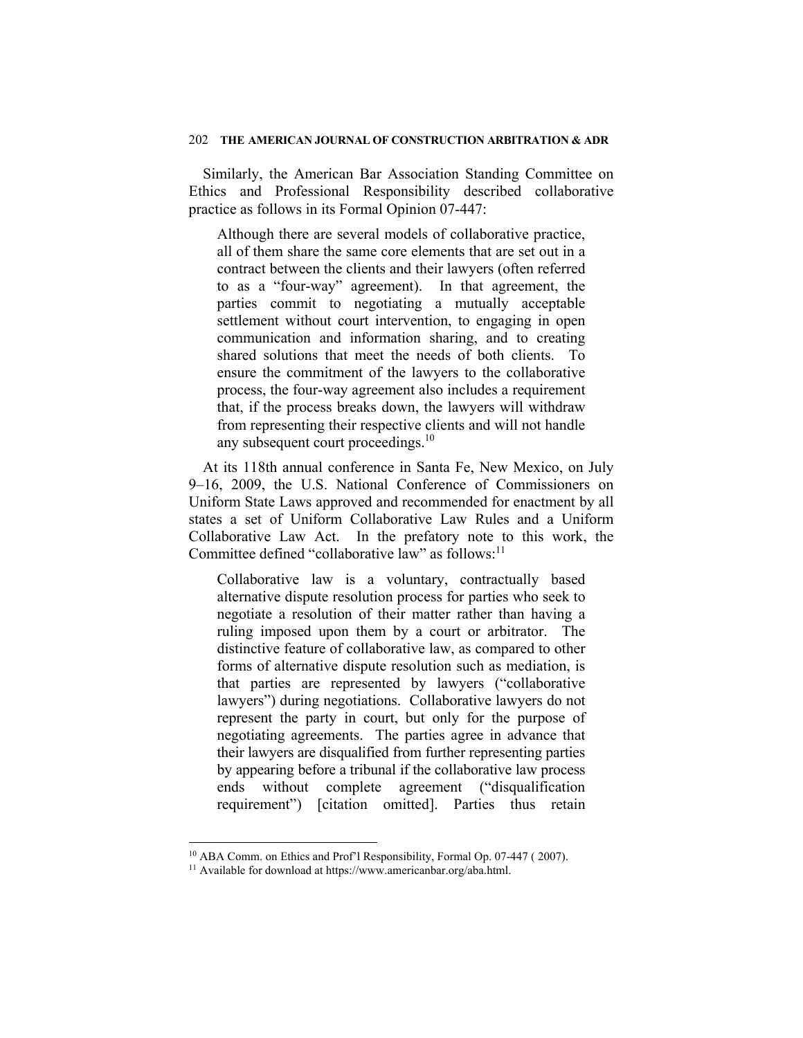Similarly, the American Bar Association Standing Committee on Ethics and Professional Responsibility described collaborative practice as follows in its Formal Opinion 07-447:

Although there are several models of collaborative practice, all of them share the same core elements that are set out in a contract between the clients and their lawyers (often referred to as a "four-way" agreement). In that agreement, the parties commit to negotiating a mutually acceptable settlement without court intervention, to engaging in open communication and information sharing, and to creating shared solutions that meet the needs of both clients. To ensure the commitment of the lawyers to the collaborative process, the four-way agreement also includes a requirement that, if the process breaks down, the lawyers will withdraw from representing their respective clients and will not handle any subsequent court proceedings.<sup>10</sup>

At its 118th annual conference in Santa Fe, New Mexico, on July 9–16, 2009, the U.S. National Conference of Commissioners on Uniform State Laws approved and recommended for enactment by all states a set of Uniform Collaborative Law Rules and a Uniform Collaborative Law Act. In the prefatory note to this work, the Committee defined "collaborative law" as follows:<sup>11</sup>

Collaborative law is a voluntary, contractually based alternative dispute resolution process for parties who seek to negotiate a resolution of their matter rather than having a ruling imposed upon them by a court or arbitrator. The distinctive feature of collaborative law, as compared to other forms of alternative dispute resolution such as mediation, is that parties are represented by lawyers ("collaborative lawyers") during negotiations. Collaborative lawyers do not represent the party in court, but only for the purpose of negotiating agreements. The parties agree in advance that their lawyers are disqualified from further representing parties by appearing before a tribunal if the collaborative law process ends without complete agreement ("disqualification requirement") [citation omitted]. Parties thus retain

-

<sup>10</sup> ABA Comm. on Ethics and Prof'l Responsibility, Formal Op. 07-447 ( 2007).

<sup>11</sup> Available for download at https://www.americanbar.org/aba.html.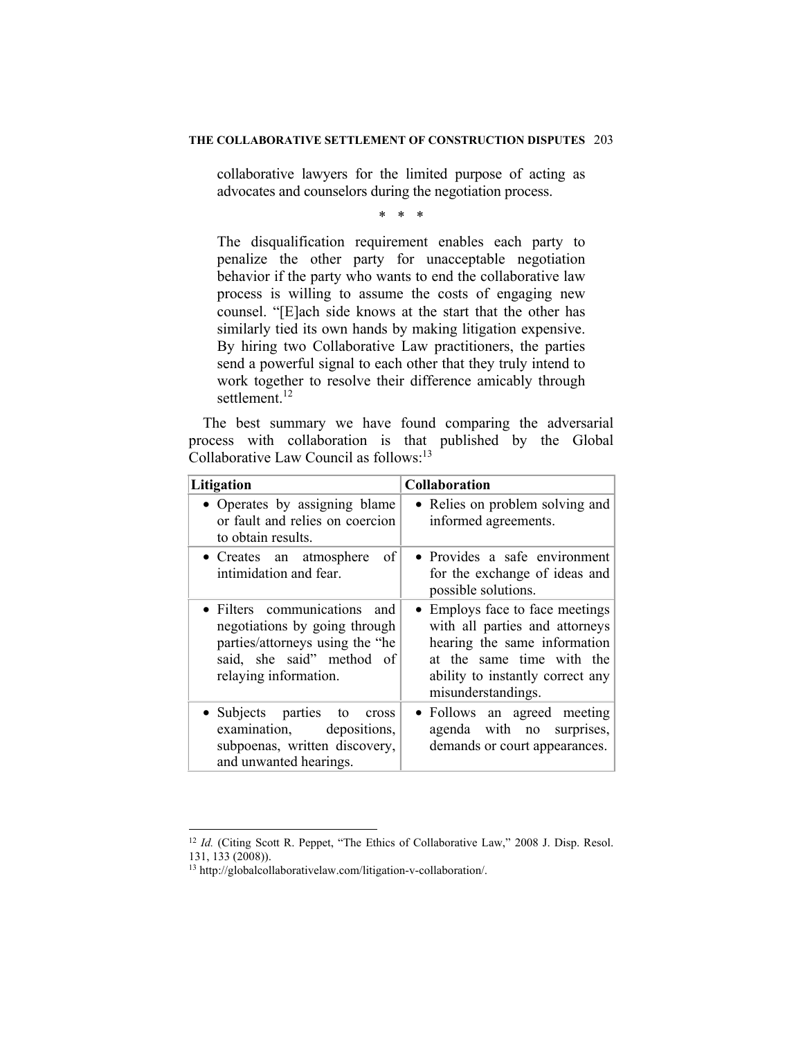collaborative lawyers for the limited purpose of acting as advocates and counselors during the negotiation process.

\* \* \*

The disqualification requirement enables each party to penalize the other party for unacceptable negotiation behavior if the party who wants to end the collaborative law process is willing to assume the costs of engaging new counsel. "[E]ach side knows at the start that the other has similarly tied its own hands by making litigation expensive. By hiring two Collaborative Law practitioners, the parties send a powerful signal to each other that they truly intend to work together to resolve their difference amicably through settlement.<sup>12</sup>

The best summary we have found comparing the adversarial process with collaboration is that published by the Global Collaborative Law Council as follows:13

| Litigation                                                                                                                                             | <b>Collaboration</b>                                                                                                                                                                     |  |  |
|--------------------------------------------------------------------------------------------------------------------------------------------------------|------------------------------------------------------------------------------------------------------------------------------------------------------------------------------------------|--|--|
| • Operates by assigning blame<br>or fault and relies on coercion<br>to obtain results.                                                                 | • Relies on problem solving and<br>informed agreements.                                                                                                                                  |  |  |
| • Creates an atmosphere<br>of<br>intimidation and fear.                                                                                                | • Provides a safe environment<br>for the exchange of ideas and<br>possible solutions.                                                                                                    |  |  |
| • Filters communications and<br>negotiations by going through<br>parties/attorneys using the "he<br>said, she said" method of<br>relaying information. | • Employs face to face meetings<br>with all parties and attorneys<br>hearing the same information<br>at the same time with the<br>ability to instantly correct any<br>misunderstandings. |  |  |
| • Subjects parties to<br>cross<br>examination, depositions,<br>subpoenas, written discovery,<br>and unwanted hearings.                                 | • Follows an agreed meeting<br>agenda with no surprises,<br>demands or court appearances.                                                                                                |  |  |

<sup>&</sup>lt;sup>12</sup> *Id.* (Citing Scott R. Peppet, "The Ethics of Collaborative Law," 2008 J. Disp. Resol. 131, 133 (2008)).

<sup>13</sup> http://globalcollaborativelaw.com/litigation-v-collaboration/.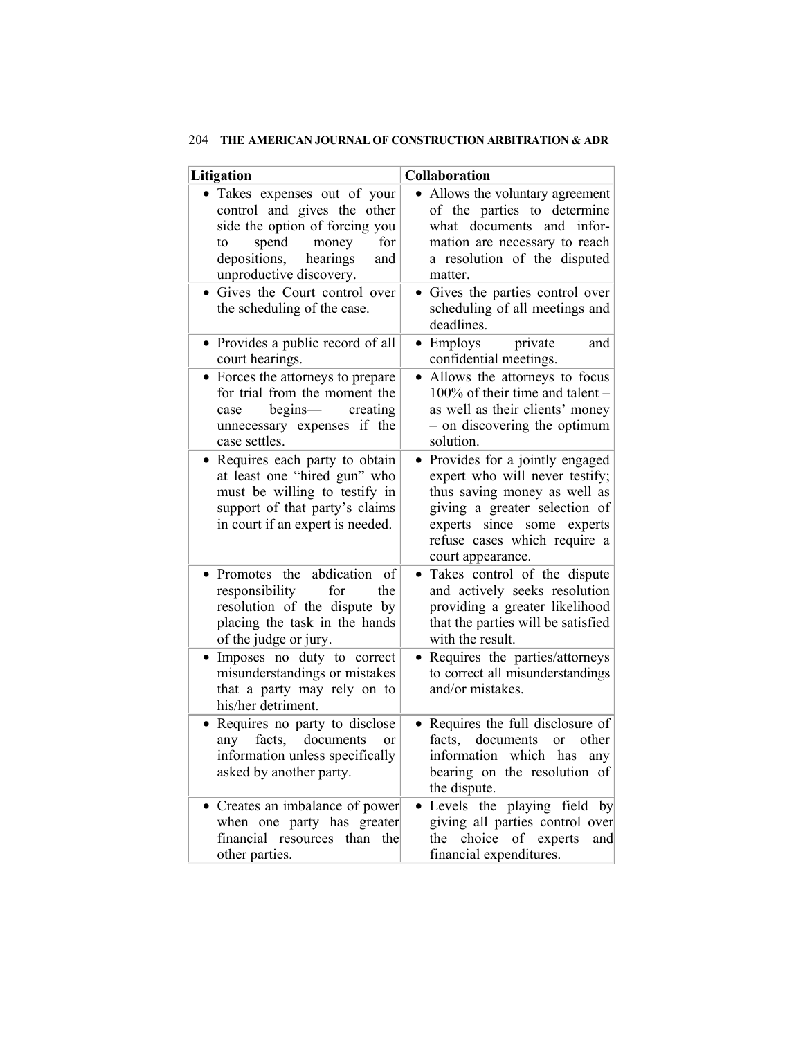| Litigation                                                                                                                                                                                                                                          | <b>Collaboration</b>                                                                                                                                                                                                                                         |  |  |
|-----------------------------------------------------------------------------------------------------------------------------------------------------------------------------------------------------------------------------------------------------|--------------------------------------------------------------------------------------------------------------------------------------------------------------------------------------------------------------------------------------------------------------|--|--|
| • Takes expenses out of your<br>control and gives the other<br>side the option of forcing you<br>spend money<br>for<br>to<br>depositions, hearings<br>and<br>unproductive discovery.<br>Gives the Court control over<br>the scheduling of the case. | • Allows the voluntary agreement<br>of the parties to determine<br>what documents and infor-<br>mation are necessary to reach<br>a resolution of the disputed<br>matter.<br>• Gives the parties control over<br>scheduling of all meetings and<br>deadlines. |  |  |
| • Provides a public record of all<br>court hearings.                                                                                                                                                                                                | $\bullet$ Employs<br>private<br>and<br>confidential meetings.                                                                                                                                                                                                |  |  |
| • Forces the attorneys to prepare<br>for trial from the moment the<br>begins— creating<br>case<br>unnecessary expenses if the<br>case settles.                                                                                                      | • Allows the attorneys to focus<br>100% of their time and talent -<br>as well as their clients' money<br>- on discovering the optimum<br>solution.                                                                                                           |  |  |
| • Requires each party to obtain<br>at least one "hired gun" who<br>must be willing to testify in<br>support of that party's claims<br>in court if an expert is needed.                                                                              | • Provides for a jointly engaged<br>expert who will never testify;<br>thus saving money as well as<br>giving a greater selection of<br>experts since some experts<br>refuse cases which require a<br>court appearance.                                       |  |  |
| • Promotes the abdication<br>0 <sup>f</sup><br>responsibility<br>for<br>the<br>resolution of the dispute by<br>placing the task in the hands<br>of the judge or jury.                                                                               | • Takes control of the dispute<br>and actively seeks resolution<br>providing a greater likelihood<br>that the parties will be satisfied<br>with the result.                                                                                                  |  |  |
| • Imposes no duty to correct<br>misunderstandings or mistakes<br>that a party may rely on to<br>his/her detriment.                                                                                                                                  | • Requires the parties/attorneys<br>to correct all misunderstandings<br>and/or mistakes.                                                                                                                                                                     |  |  |
| • Requires no party to disclose<br>any facts, documents<br><sub>or</sub><br>information unless specifically<br>asked by another party.                                                                                                              | • Requires the full disclosure of<br>facts, documents<br>other<br>or<br>information which has<br>any  <br>bearing on the resolution of<br>the dispute.                                                                                                       |  |  |
| • Creates an imbalance of power<br>when one party has greater<br>financial resources than the<br>other parties.                                                                                                                                     | Levels the playing field<br> by <br>giving all parties control over<br>choice of experts<br>the<br>and<br>financial expenditures.                                                                                                                            |  |  |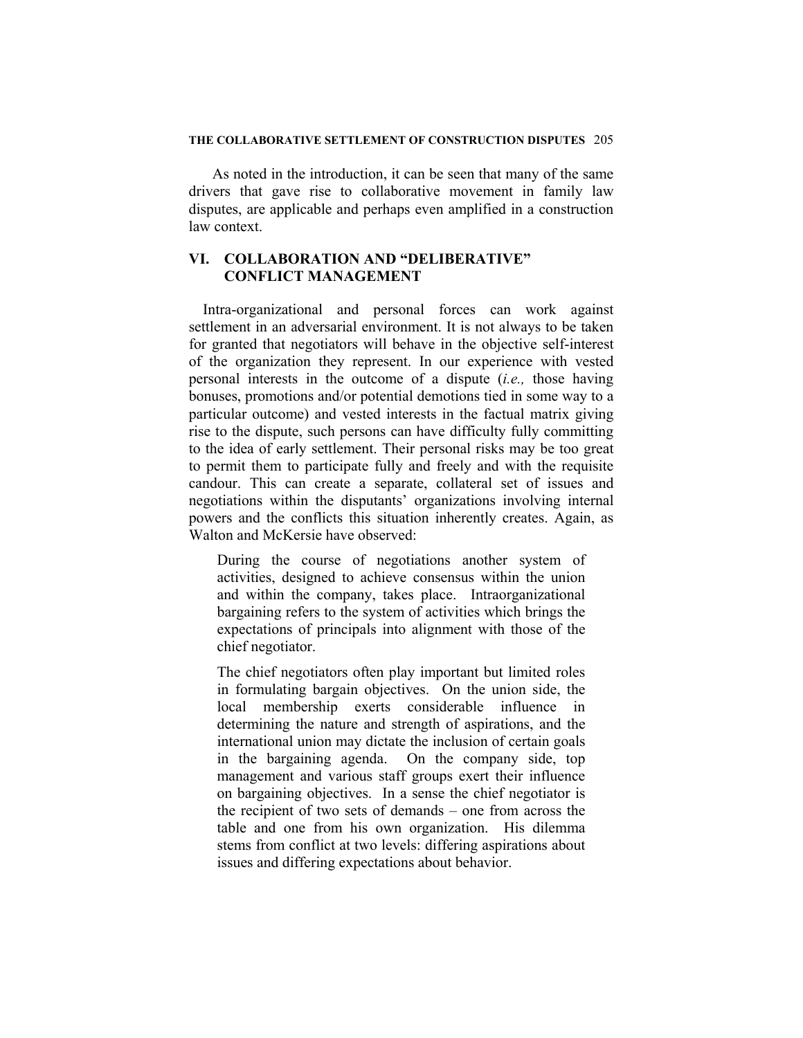As noted in the introduction, it can be seen that many of the same drivers that gave rise to collaborative movement in family law disputes, are applicable and perhaps even amplified in a construction law context.

## **VI. COLLABORATION AND "DELIBERATIVE" CONFLICT MANAGEMENT**

Intra-organizational and personal forces can work against settlement in an adversarial environment. It is not always to be taken for granted that negotiators will behave in the objective self-interest of the organization they represent. In our experience with vested personal interests in the outcome of a dispute (*i.e.,* those having bonuses, promotions and/or potential demotions tied in some way to a particular outcome) and vested interests in the factual matrix giving rise to the dispute, such persons can have difficulty fully committing to the idea of early settlement. Their personal risks may be too great to permit them to participate fully and freely and with the requisite candour. This can create a separate, collateral set of issues and negotiations within the disputants' organizations involving internal powers and the conflicts this situation inherently creates. Again, as Walton and McKersie have observed:

During the course of negotiations another system of activities, designed to achieve consensus within the union and within the company, takes place. Intraorganizational bargaining refers to the system of activities which brings the expectations of principals into alignment with those of the chief negotiator.

The chief negotiators often play important but limited roles in formulating bargain objectives. On the union side, the local membership exerts considerable influence in determining the nature and strength of aspirations, and the international union may dictate the inclusion of certain goals in the bargaining agenda. On the company side, top management and various staff groups exert their influence on bargaining objectives. In a sense the chief negotiator is the recipient of two sets of demands – one from across the table and one from his own organization. His dilemma stems from conflict at two levels: differing aspirations about issues and differing expectations about behavior.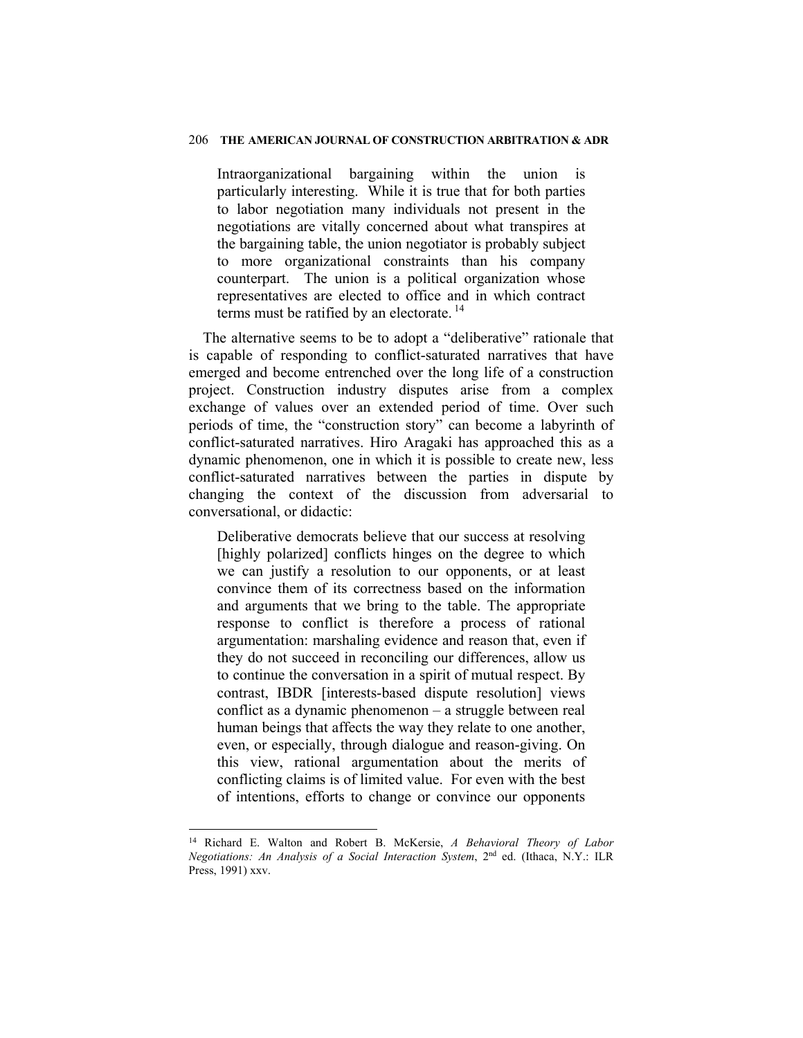Intraorganizational bargaining within the union is particularly interesting. While it is true that for both parties to labor negotiation many individuals not present in the negotiations are vitally concerned about what transpires at the bargaining table, the union negotiator is probably subject to more organizational constraints than his company counterpart. The union is a political organization whose representatives are elected to office and in which contract terms must be ratified by an electorate.<sup>14</sup>

The alternative seems to be to adopt a "deliberative" rationale that is capable of responding to conflict-saturated narratives that have emerged and become entrenched over the long life of a construction project. Construction industry disputes arise from a complex exchange of values over an extended period of time. Over such periods of time, the "construction story" can become a labyrinth of conflict-saturated narratives. Hiro Aragaki has approached this as a dynamic phenomenon, one in which it is possible to create new, less conflict-saturated narratives between the parties in dispute by changing the context of the discussion from adversarial to conversational, or didactic:

Deliberative democrats believe that our success at resolving [highly polarized] conflicts hinges on the degree to which we can justify a resolution to our opponents, or at least convince them of its correctness based on the information and arguments that we bring to the table. The appropriate response to conflict is therefore a process of rational argumentation: marshaling evidence and reason that, even if they do not succeed in reconciling our differences, allow us to continue the conversation in a spirit of mutual respect. By contrast, IBDR [interests-based dispute resolution] views conflict as a dynamic phenomenon – a struggle between real human beings that affects the way they relate to one another, even, or especially, through dialogue and reason-giving. On this view, rational argumentation about the merits of conflicting claims is of limited value. For even with the best of intentions, efforts to change or convince our opponents

<sup>14</sup> Richard E. Walton and Robert B. McKersie, *A Behavioral Theory of Labor Negotiations: An Analysis of a Social Interaction System*, 2nd ed. (Ithaca, N.Y.: ILR Press, 1991) xxv.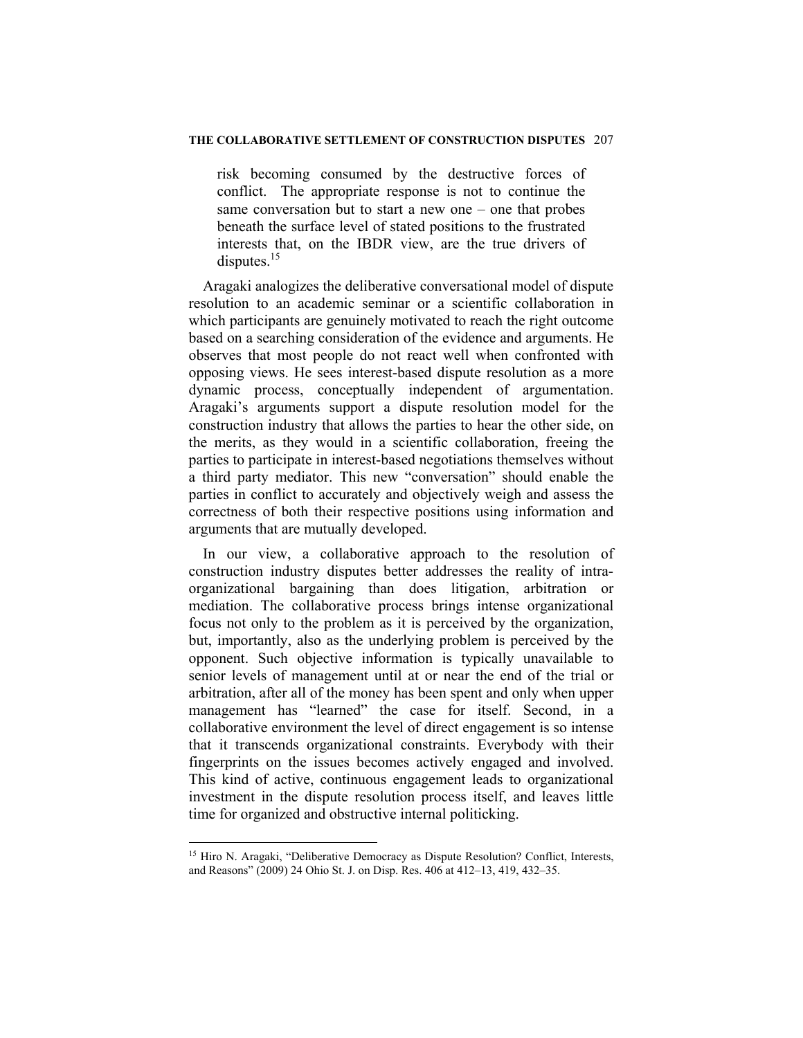risk becoming consumed by the destructive forces of conflict. The appropriate response is not to continue the same conversation but to start a new one – one that probes beneath the surface level of stated positions to the frustrated interests that, on the IBDR view, are the true drivers of disputes.<sup>15</sup>

Aragaki analogizes the deliberative conversational model of dispute resolution to an academic seminar or a scientific collaboration in which participants are genuinely motivated to reach the right outcome based on a searching consideration of the evidence and arguments. He observes that most people do not react well when confronted with opposing views. He sees interest-based dispute resolution as a more dynamic process, conceptually independent of argumentation. Aragaki's arguments support a dispute resolution model for the construction industry that allows the parties to hear the other side, on the merits, as they would in a scientific collaboration, freeing the parties to participate in interest-based negotiations themselves without a third party mediator. This new "conversation" should enable the parties in conflict to accurately and objectively weigh and assess the correctness of both their respective positions using information and arguments that are mutually developed.

In our view, a collaborative approach to the resolution of construction industry disputes better addresses the reality of intraorganizational bargaining than does litigation, arbitration or mediation. The collaborative process brings intense organizational focus not only to the problem as it is perceived by the organization, but, importantly, also as the underlying problem is perceived by the opponent. Such objective information is typically unavailable to senior levels of management until at or near the end of the trial or arbitration, after all of the money has been spent and only when upper management has "learned" the case for itself. Second, in a collaborative environment the level of direct engagement is so intense that it transcends organizational constraints. Everybody with their fingerprints on the issues becomes actively engaged and involved. This kind of active, continuous engagement leads to organizational investment in the dispute resolution process itself, and leaves little time for organized and obstructive internal politicking.

<sup>&</sup>lt;sup>15</sup> Hiro N. Aragaki, "Deliberative Democracy as Dispute Resolution? Conflict, Interests, and Reasons" (2009) 24 Ohio St. J. on Disp. Res. 406 at 412–13, 419, 432–35.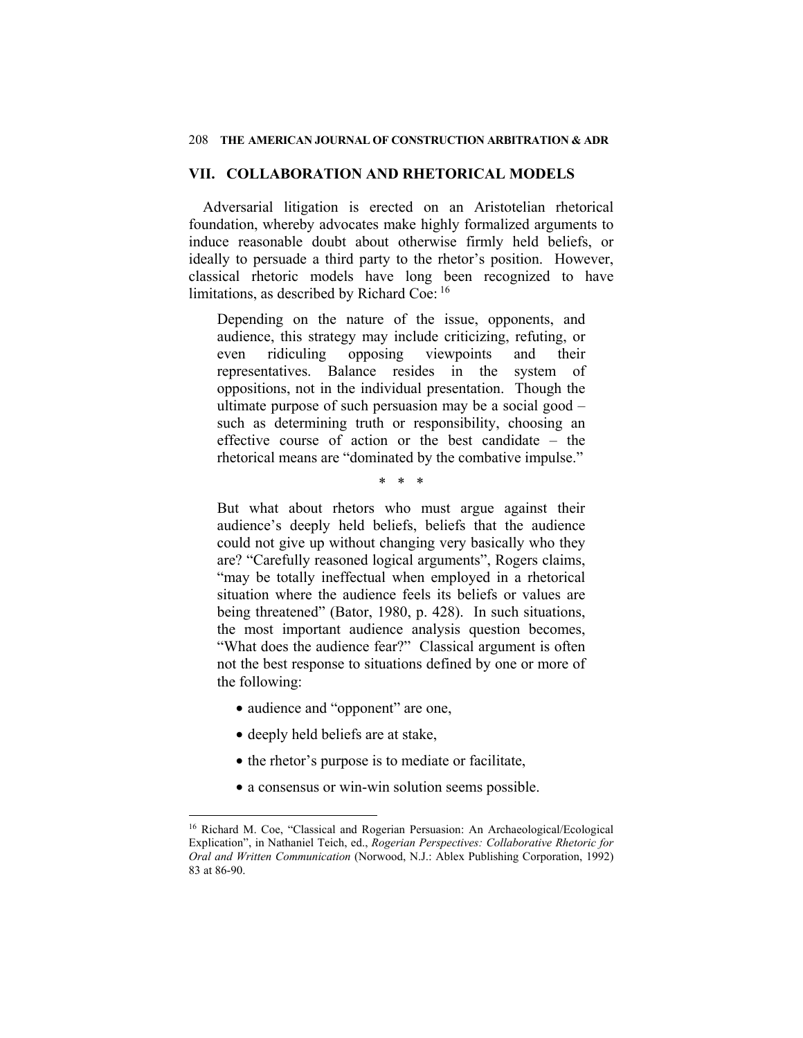### **VII. COLLABORATION AND RHETORICAL MODELS**

Adversarial litigation is erected on an Aristotelian rhetorical foundation, whereby advocates make highly formalized arguments to induce reasonable doubt about otherwise firmly held beliefs, or ideally to persuade a third party to the rhetor's position. However, classical rhetoric models have long been recognized to have limitations, as described by Richard Coe: <sup>16</sup>

Depending on the nature of the issue, opponents, and audience, this strategy may include criticizing, refuting, or even ridiculing opposing viewpoints and their representatives. Balance resides in the system of oppositions, not in the individual presentation. Though the ultimate purpose of such persuasion may be a social good – such as determining truth or responsibility, choosing an effective course of action or the best candidate – the rhetorical means are "dominated by the combative impulse."

\* \* \*

But what about rhetors who must argue against their audience's deeply held beliefs, beliefs that the audience could not give up without changing very basically who they are? "Carefully reasoned logical arguments", Rogers claims, "may be totally ineffectual when employed in a rhetorical situation where the audience feels its beliefs or values are being threatened" (Bator, 1980, p. 428). In such situations, the most important audience analysis question becomes, "What does the audience fear?" Classical argument is often not the best response to situations defined by one or more of the following:

- audience and "opponent" are one,
- deeply held beliefs are at stake,

-

- the rhetor's purpose is to mediate or facilitate,
- a consensus or win-win solution seems possible.

<sup>16</sup> Richard M. Coe, "Classical and Rogerian Persuasion: An Archaeological/Ecological Explication", in Nathaniel Teich, ed., *Rogerian Perspectives: Collaborative Rhetoric for Oral and Written Communication* (Norwood, N.J.: Ablex Publishing Corporation, 1992) 83 at 86-90.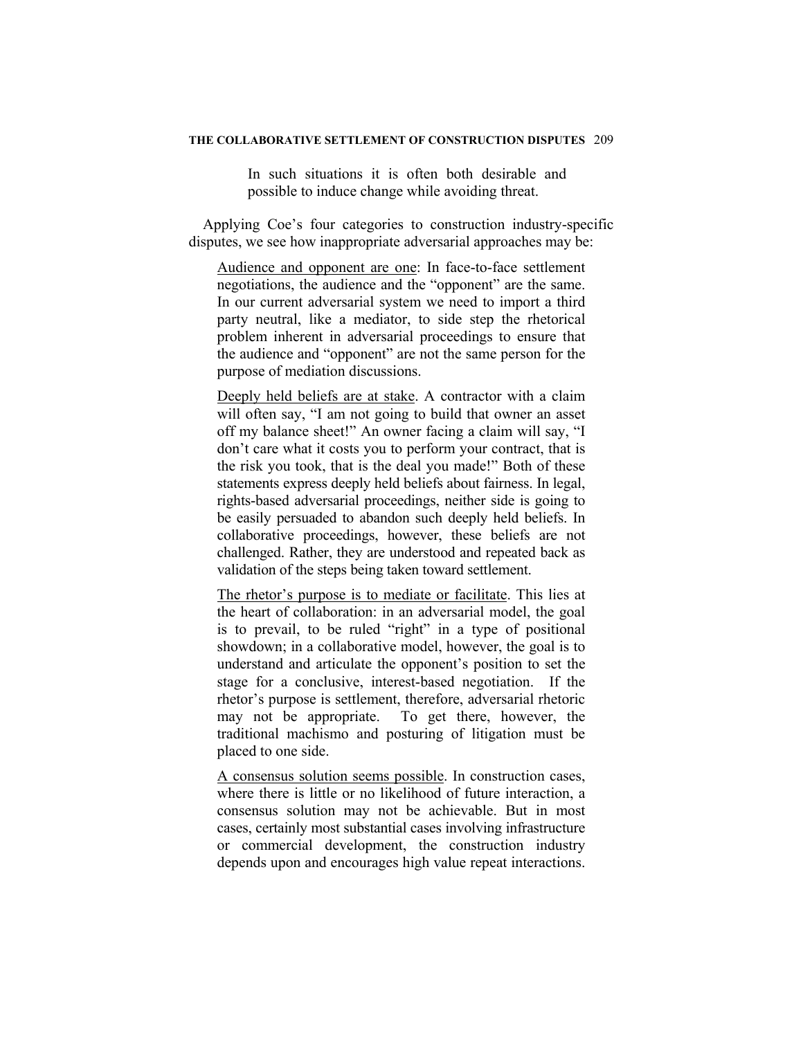In such situations it is often both desirable and possible to induce change while avoiding threat.

Applying Coe's four categories to construction industry-specific disputes, we see how inappropriate adversarial approaches may be:

Audience and opponent are one: In face-to-face settlement negotiations, the audience and the "opponent" are the same. In our current adversarial system we need to import a third party neutral, like a mediator, to side step the rhetorical problem inherent in adversarial proceedings to ensure that the audience and "opponent" are not the same person for the purpose of mediation discussions.

Deeply held beliefs are at stake. A contractor with a claim will often say, "I am not going to build that owner an asset off my balance sheet!" An owner facing a claim will say, "I don't care what it costs you to perform your contract, that is the risk you took, that is the deal you made!" Both of these statements express deeply held beliefs about fairness. In legal, rights-based adversarial proceedings, neither side is going to be easily persuaded to abandon such deeply held beliefs. In collaborative proceedings, however, these beliefs are not challenged. Rather, they are understood and repeated back as validation of the steps being taken toward settlement.

The rhetor's purpose is to mediate or facilitate. This lies at the heart of collaboration: in an adversarial model, the goal is to prevail, to be ruled "right" in a type of positional showdown; in a collaborative model, however, the goal is to understand and articulate the opponent's position to set the stage for a conclusive, interest-based negotiation. If the rhetor's purpose is settlement, therefore, adversarial rhetoric may not be appropriate. To get there, however, the traditional machismo and posturing of litigation must be placed to one side.

A consensus solution seems possible. In construction cases, where there is little or no likelihood of future interaction, a consensus solution may not be achievable. But in most cases, certainly most substantial cases involving infrastructure or commercial development, the construction industry depends upon and encourages high value repeat interactions.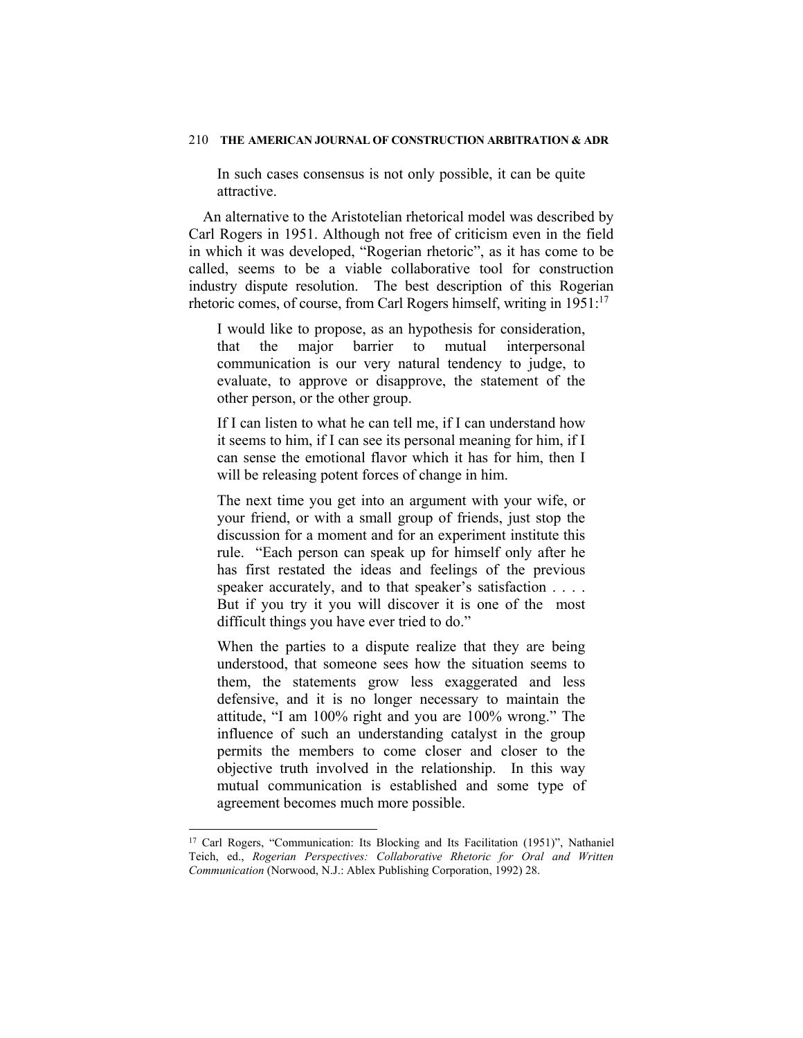In such cases consensus is not only possible, it can be quite attractive.

An alternative to the Aristotelian rhetorical model was described by Carl Rogers in 1951. Although not free of criticism even in the field in which it was developed, "Rogerian rhetoric", as it has come to be called, seems to be a viable collaborative tool for construction industry dispute resolution. The best description of this Rogerian rhetoric comes, of course, from Carl Rogers himself, writing in 1951:<sup>17</sup>

I would like to propose, as an hypothesis for consideration, that the major barrier to mutual interpersonal communication is our very natural tendency to judge, to evaluate, to approve or disapprove, the statement of the other person, or the other group.

If I can listen to what he can tell me, if I can understand how it seems to him, if I can see its personal meaning for him, if I can sense the emotional flavor which it has for him, then I will be releasing potent forces of change in him.

The next time you get into an argument with your wife, or your friend, or with a small group of friends, just stop the discussion for a moment and for an experiment institute this rule. "Each person can speak up for himself only after he has first restated the ideas and feelings of the previous speaker accurately, and to that speaker's satisfaction . . . . But if you try it you will discover it is one of the most difficult things you have ever tried to do."

When the parties to a dispute realize that they are being understood, that someone sees how the situation seems to them, the statements grow less exaggerated and less defensive, and it is no longer necessary to maintain the attitude, "I am 100% right and you are 100% wrong." The influence of such an understanding catalyst in the group permits the members to come closer and closer to the objective truth involved in the relationship. In this way mutual communication is established and some type of agreement becomes much more possible.

<sup>&</sup>lt;sup>17</sup> Carl Rogers, "Communication: Its Blocking and Its Facilitation (1951)", Nathaniel Teich, ed., *Rogerian Perspectives: Collaborative Rhetoric for Oral and Written Communication* (Norwood, N.J.: Ablex Publishing Corporation, 1992) 28.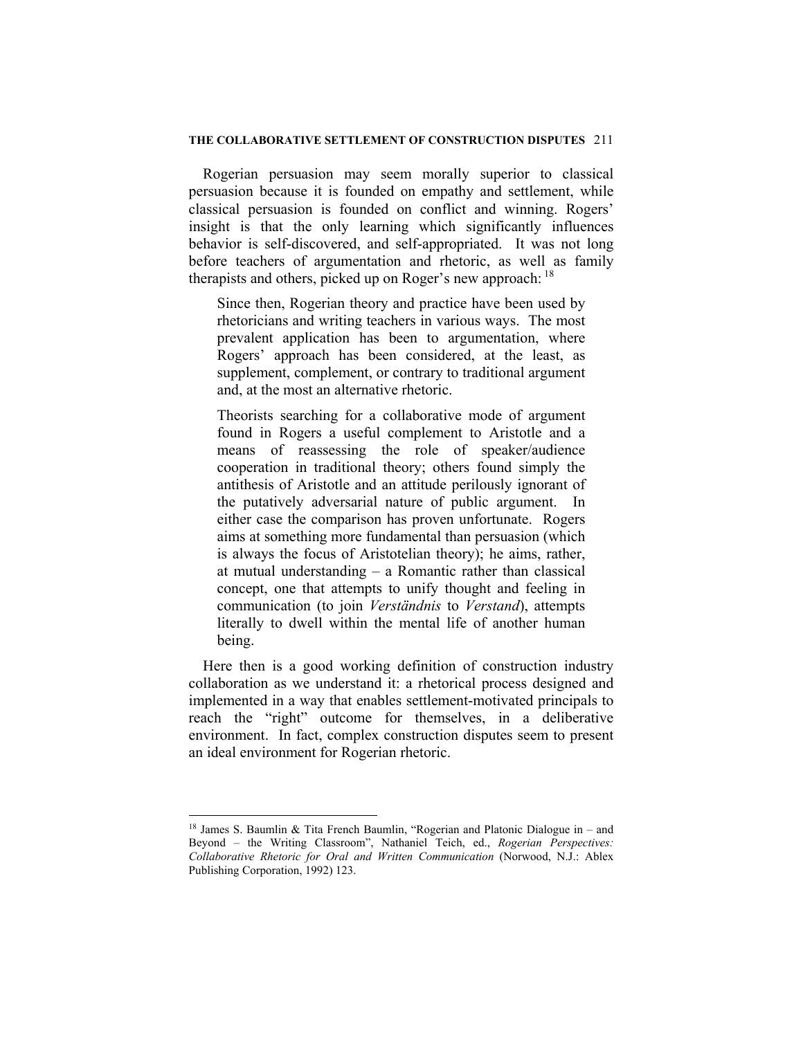Rogerian persuasion may seem morally superior to classical persuasion because it is founded on empathy and settlement, while classical persuasion is founded on conflict and winning. Rogers' insight is that the only learning which significantly influences behavior is self-discovered, and self-appropriated. It was not long before teachers of argumentation and rhetoric, as well as family therapists and others, picked up on Roger's new approach: <sup>18</sup>

Since then, Rogerian theory and practice have been used by rhetoricians and writing teachers in various ways. The most prevalent application has been to argumentation, where Rogers' approach has been considered, at the least, as supplement, complement, or contrary to traditional argument and, at the most an alternative rhetoric.

Theorists searching for a collaborative mode of argument found in Rogers a useful complement to Aristotle and a means of reassessing the role of speaker/audience cooperation in traditional theory; others found simply the antithesis of Aristotle and an attitude perilously ignorant of the putatively adversarial nature of public argument. In either case the comparison has proven unfortunate. Rogers aims at something more fundamental than persuasion (which is always the focus of Aristotelian theory); he aims, rather, at mutual understanding – a Romantic rather than classical concept, one that attempts to unify thought and feeling in communication (to join *Verständnis* to *Verstand*), attempts literally to dwell within the mental life of another human being.

Here then is a good working definition of construction industry collaboration as we understand it: a rhetorical process designed and implemented in a way that enables settlement-motivated principals to reach the "right" outcome for themselves, in a deliberative environment. In fact, complex construction disputes seem to present an ideal environment for Rogerian rhetoric.

 $\overline{a}$ 

<sup>&</sup>lt;sup>18</sup> James S. Baumlin & Tita French Baumlin, "Rogerian and Platonic Dialogue in – and Beyond – the Writing Classroom", Nathaniel Teich, ed., *Rogerian Perspectives: Collaborative Rhetoric for Oral and Written Communication* (Norwood, N.J.: Ablex Publishing Corporation, 1992) 123.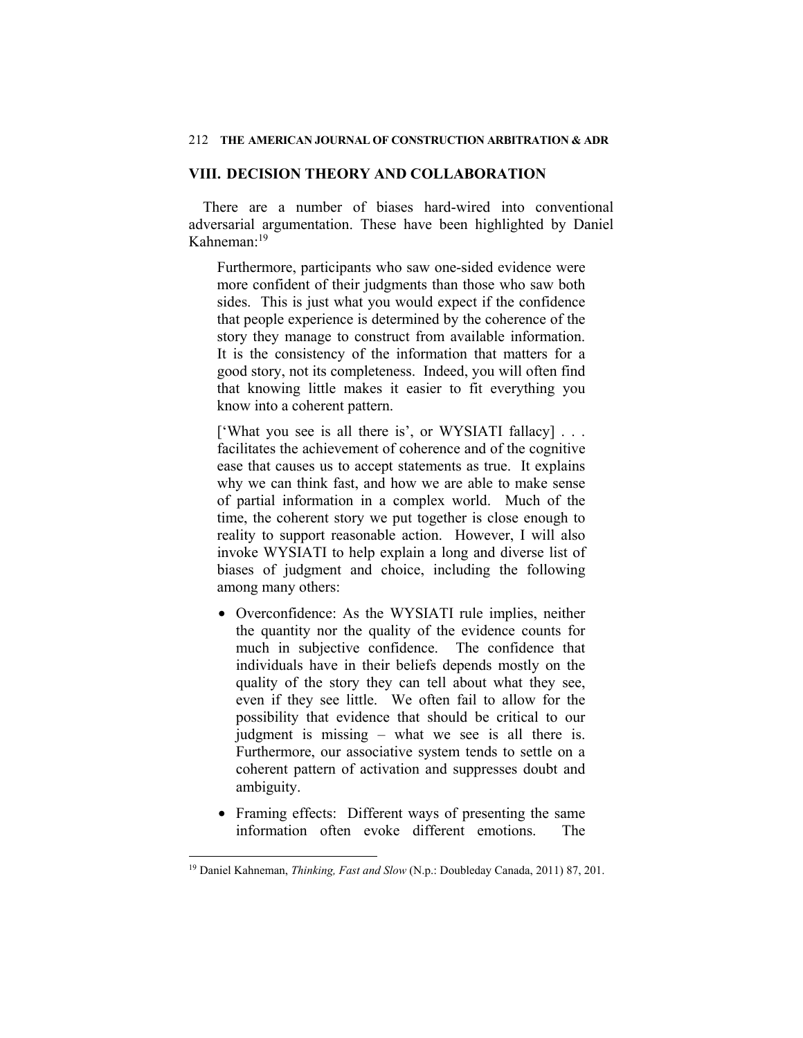### **VIII. DECISION THEORY AND COLLABORATION**

There are a number of biases hard-wired into conventional adversarial argumentation. These have been highlighted by Daniel Kahneman:19

Furthermore, participants who saw one-sided evidence were more confident of their judgments than those who saw both sides. This is just what you would expect if the confidence that people experience is determined by the coherence of the story they manage to construct from available information. It is the consistency of the information that matters for a good story, not its completeness. Indeed, you will often find that knowing little makes it easier to fit everything you know into a coherent pattern.

['What you see is all there is', or WYSIATI fallacy] . . . facilitates the achievement of coherence and of the cognitive ease that causes us to accept statements as true. It explains why we can think fast, and how we are able to make sense of partial information in a complex world. Much of the time, the coherent story we put together is close enough to reality to support reasonable action. However, I will also invoke WYSIATI to help explain a long and diverse list of biases of judgment and choice, including the following among many others:

- Overconfidence: As the WYSIATI rule implies, neither the quantity nor the quality of the evidence counts for much in subjective confidence. The confidence that individuals have in their beliefs depends mostly on the quality of the story they can tell about what they see, even if they see little. We often fail to allow for the possibility that evidence that should be critical to our judgment is missing – what we see is all there is. Furthermore, our associative system tends to settle on a coherent pattern of activation and suppresses doubt and ambiguity.
- Framing effects: Different ways of presenting the same information often evoke different emotions. The

<sup>19</sup> Daniel Kahneman, *Thinking, Fast and Slow* (N.p.: Doubleday Canada, 2011) 87, 201.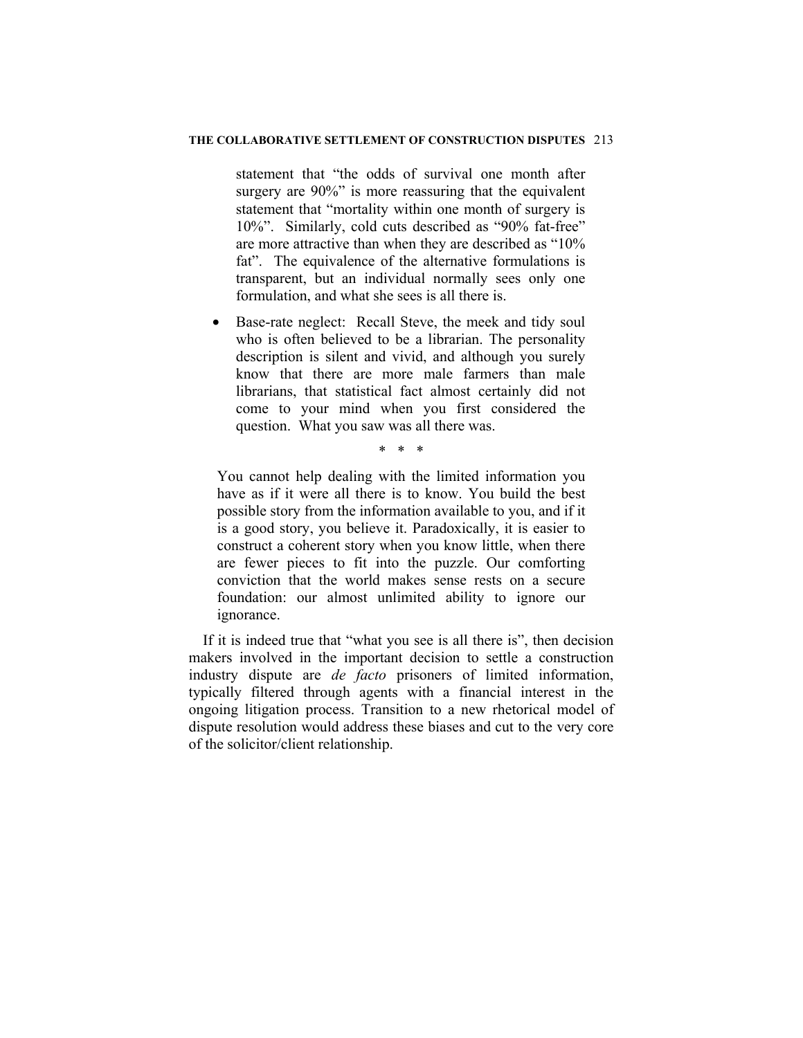statement that "the odds of survival one month after surgery are 90%" is more reassuring that the equivalent statement that "mortality within one month of surgery is 10%". Similarly, cold cuts described as "90% fat-free" are more attractive than when they are described as "10% fat". The equivalence of the alternative formulations is transparent, but an individual normally sees only one formulation, and what she sees is all there is.

Base-rate neglect: Recall Steve, the meek and tidy soul who is often believed to be a librarian. The personality description is silent and vivid, and although you surely know that there are more male farmers than male librarians, that statistical fact almost certainly did not come to your mind when you first considered the question. What you saw was all there was.

\* \* \*

You cannot help dealing with the limited information you have as if it were all there is to know. You build the best possible story from the information available to you, and if it is a good story, you believe it. Paradoxically, it is easier to construct a coherent story when you know little, when there are fewer pieces to fit into the puzzle. Our comforting conviction that the world makes sense rests on a secure foundation: our almost unlimited ability to ignore our ignorance.

If it is indeed true that "what you see is all there is", then decision makers involved in the important decision to settle a construction industry dispute are *de facto* prisoners of limited information, typically filtered through agents with a financial interest in the ongoing litigation process. Transition to a new rhetorical model of dispute resolution would address these biases and cut to the very core of the solicitor/client relationship.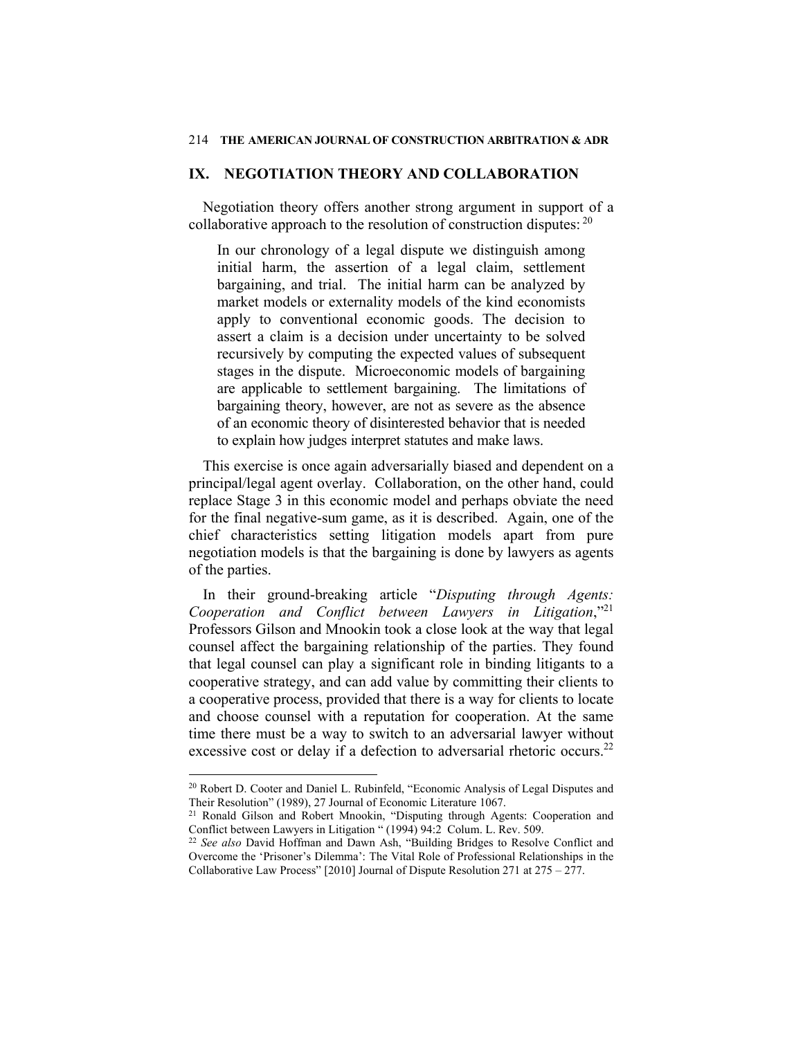### **IX. NEGOTIATION THEORY AND COLLABORATION**

Negotiation theory offers another strong argument in support of a collaborative approach to the resolution of construction disputes:  $20$ 

In our chronology of a legal dispute we distinguish among initial harm, the assertion of a legal claim, settlement bargaining, and trial. The initial harm can be analyzed by market models or externality models of the kind economists apply to conventional economic goods. The decision to assert a claim is a decision under uncertainty to be solved recursively by computing the expected values of subsequent stages in the dispute. Microeconomic models of bargaining are applicable to settlement bargaining. The limitations of bargaining theory, however, are not as severe as the absence of an economic theory of disinterested behavior that is needed to explain how judges interpret statutes and make laws.

This exercise is once again adversarially biased and dependent on a principal/legal agent overlay. Collaboration, on the other hand, could replace Stage 3 in this economic model and perhaps obviate the need for the final negative-sum game, as it is described. Again, one of the chief characteristics setting litigation models apart from pure negotiation models is that the bargaining is done by lawyers as agents of the parties.

In their ground-breaking article "*Disputing through Agents: Cooperation and Conflict between Lawyers in Litigation*,"21 Professors Gilson and Mnookin took a close look at the way that legal counsel affect the bargaining relationship of the parties. They found that legal counsel can play a significant role in binding litigants to a cooperative strategy, and can add value by committing their clients to a cooperative process, provided that there is a way for clients to locate and choose counsel with a reputation for cooperation. At the same time there must be a way to switch to an adversarial lawyer without excessive cost or delay if a defection to adversarial rhetoric occurs.<sup>22</sup>

 $\overline{a}$ 

<sup>20</sup> Robert D. Cooter and Daniel L. Rubinfeld, "Economic Analysis of Legal Disputes and Their Resolution" (1989), 27 Journal of Economic Literature 1067.

<sup>&</sup>lt;sup>21</sup> Ronald Gilson and Robert Mnookin, "Disputing through Agents: Cooperation and Conflict between Lawyers in Litigation " $(1994)$  94:2 Colum. L. Rev. 509.

<sup>&</sup>lt;sup>22</sup> See also David Hoffman and Dawn Ash, "Building Bridges to Resolve Conflict and Overcome the 'Prisoner's Dilemma': The Vital Role of Professional Relationships in the Collaborative Law Process" [2010] Journal of Dispute Resolution 271 at 275 – 277.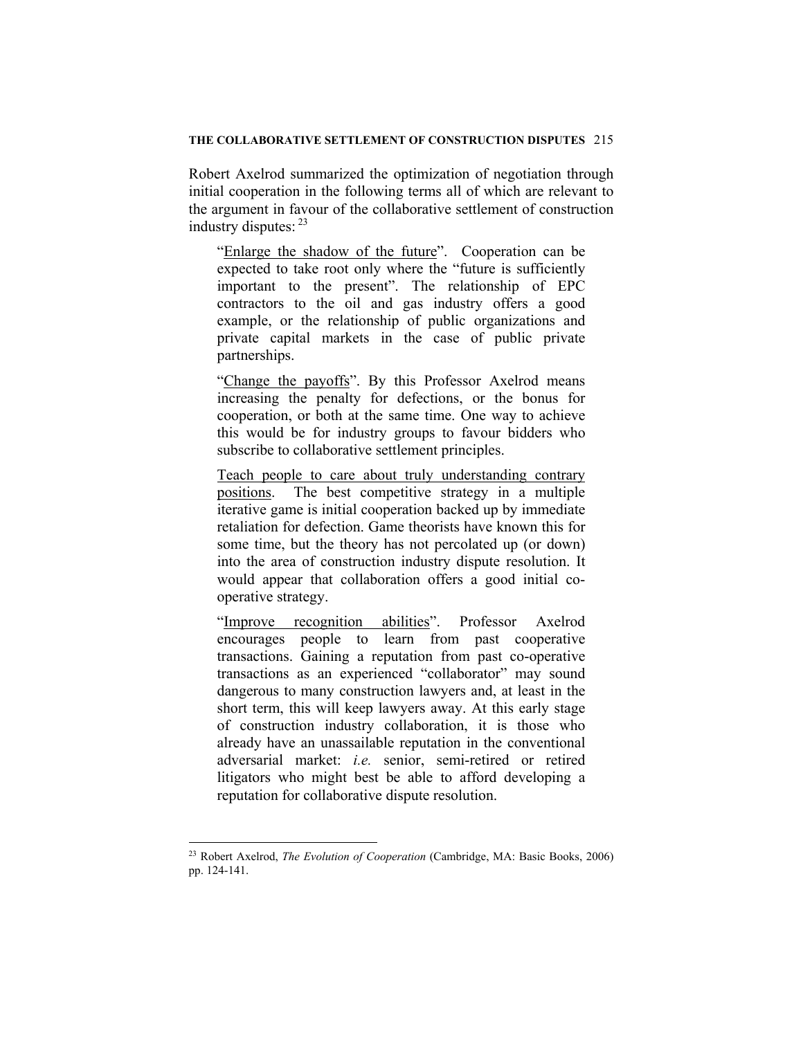Robert Axelrod summarized the optimization of negotiation through initial cooperation in the following terms all of which are relevant to the argument in favour of the collaborative settlement of construction industry disputes: 23

"Enlarge the shadow of the future". Cooperation can be expected to take root only where the "future is sufficiently important to the present". The relationship of EPC contractors to the oil and gas industry offers a good example, or the relationship of public organizations and private capital markets in the case of public private partnerships.

"Change the payoffs". By this Professor Axelrod means increasing the penalty for defections, or the bonus for cooperation, or both at the same time. One way to achieve this would be for industry groups to favour bidders who subscribe to collaborative settlement principles.

Teach people to care about truly understanding contrary positions. The best competitive strategy in a multiple iterative game is initial cooperation backed up by immediate retaliation for defection. Game theorists have known this for some time, but the theory has not percolated up (or down) into the area of construction industry dispute resolution. It would appear that collaboration offers a good initial cooperative strategy.

"Improve recognition abilities". Professor Axelrod encourages people to learn from past cooperative transactions. Gaining a reputation from past co-operative transactions as an experienced "collaborator" may sound dangerous to many construction lawyers and, at least in the short term, this will keep lawyers away. At this early stage of construction industry collaboration, it is those who already have an unassailable reputation in the conventional adversarial market: *i.e.* senior, semi-retired or retired litigators who might best be able to afford developing a reputation for collaborative dispute resolution.

 $\overline{a}$ 

<sup>23</sup> Robert Axelrod, *The Evolution of Cooperation* (Cambridge, MA: Basic Books, 2006) pp. 124-141.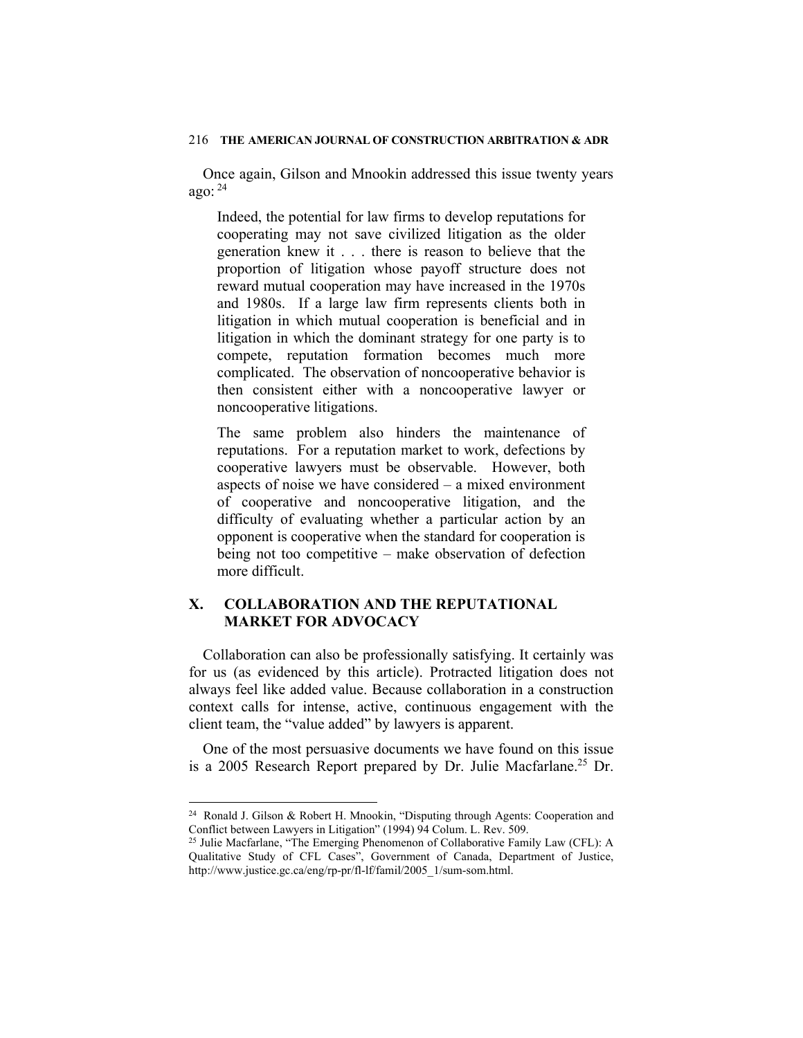Once again, Gilson and Mnookin addressed this issue twenty years ago: 24

Indeed, the potential for law firms to develop reputations for cooperating may not save civilized litigation as the older generation knew it . . . there is reason to believe that the proportion of litigation whose payoff structure does not reward mutual cooperation may have increased in the 1970s and 1980s. If a large law firm represents clients both in litigation in which mutual cooperation is beneficial and in litigation in which the dominant strategy for one party is to compete, reputation formation becomes much more complicated. The observation of noncooperative behavior is then consistent either with a noncooperative lawyer or noncooperative litigations.

The same problem also hinders the maintenance of reputations. For a reputation market to work, defections by cooperative lawyers must be observable. However, both aspects of noise we have considered – a mixed environment of cooperative and noncooperative litigation, and the difficulty of evaluating whether a particular action by an opponent is cooperative when the standard for cooperation is being not too competitive – make observation of defection more difficult.

## **X. COLLABORATION AND THE REPUTATIONAL MARKET FOR ADVOCACY**

Collaboration can also be professionally satisfying. It certainly was for us (as evidenced by this article). Protracted litigation does not always feel like added value. Because collaboration in a construction context calls for intense, active, continuous engagement with the client team, the "value added" by lawyers is apparent.

One of the most persuasive documents we have found on this issue is a 2005 Research Report prepared by Dr. Julie Macfarlane.<sup>25</sup> Dr.

<sup>&</sup>lt;sup>24</sup> Ronald J. Gilson & Robert H. Mnookin, "Disputing through Agents: Cooperation and Conflict between Lawyers in Litigation" (1994) 94 Colum. L. Rev. 509.

<sup>&</sup>lt;sup>25</sup> Julie Macfarlane, "The Emerging Phenomenon of Collaborative Family Law (CFL): A Qualitative Study of CFL Cases", Government of Canada, Department of Justice, http://www.justice.gc.ca/eng/rp-pr/fl-lf/famil/2005\_1/sum-som.html.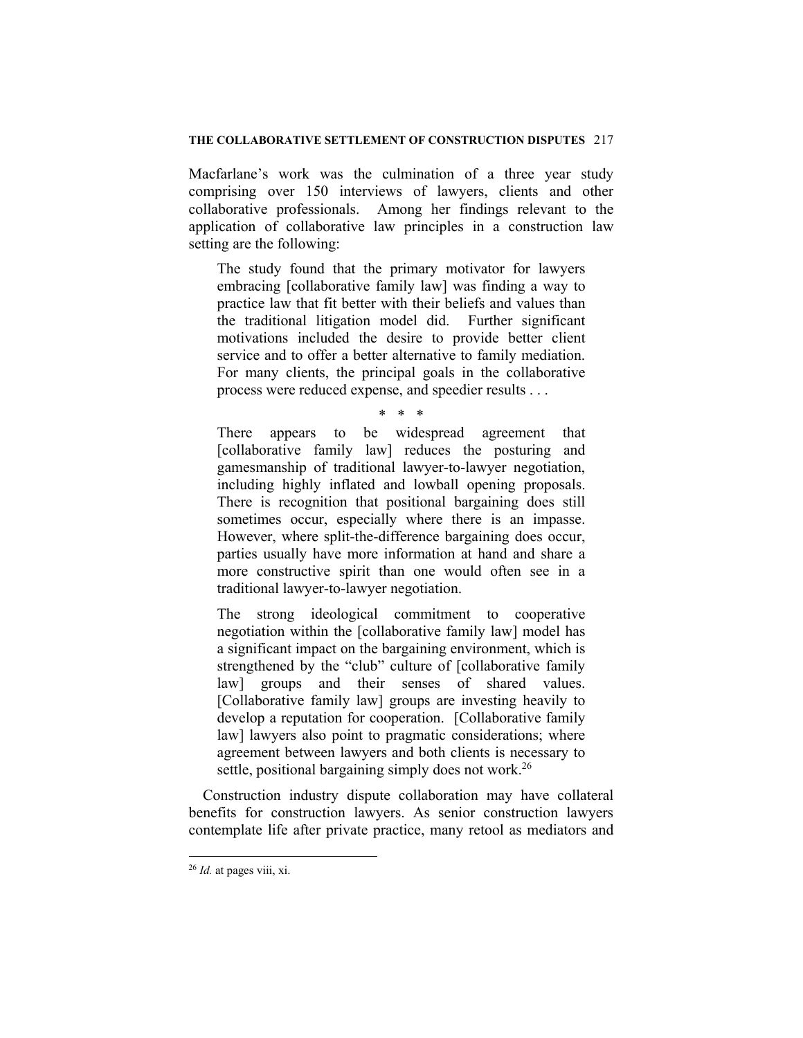Macfarlane's work was the culmination of a three year study comprising over 150 interviews of lawyers, clients and other collaborative professionals. Among her findings relevant to the application of collaborative law principles in a construction law setting are the following:

The study found that the primary motivator for lawyers embracing [collaborative family law] was finding a way to practice law that fit better with their beliefs and values than the traditional litigation model did. Further significant motivations included the desire to provide better client service and to offer a better alternative to family mediation. For many clients, the principal goals in the collaborative process were reduced expense, and speedier results . . .

\* \* \*

There appears to be widespread agreement that [collaborative family law] reduces the posturing and gamesmanship of traditional lawyer-to-lawyer negotiation, including highly inflated and lowball opening proposals. There is recognition that positional bargaining does still sometimes occur, especially where there is an impasse. However, where split-the-difference bargaining does occur, parties usually have more information at hand and share a more constructive spirit than one would often see in a traditional lawyer-to-lawyer negotiation.

The strong ideological commitment to cooperative negotiation within the [collaborative family law] model has a significant impact on the bargaining environment, which is strengthened by the "club" culture of [collaborative family law] groups and their senses of shared values. [Collaborative family law] groups are investing heavily to develop a reputation for cooperation. [Collaborative family law] lawyers also point to pragmatic considerations; where agreement between lawyers and both clients is necessary to settle, positional bargaining simply does not work.<sup>26</sup>

Construction industry dispute collaboration may have collateral benefits for construction lawyers. As senior construction lawyers contemplate life after private practice, many retool as mediators and

<sup>26</sup> *Id.* at pages viii, xi.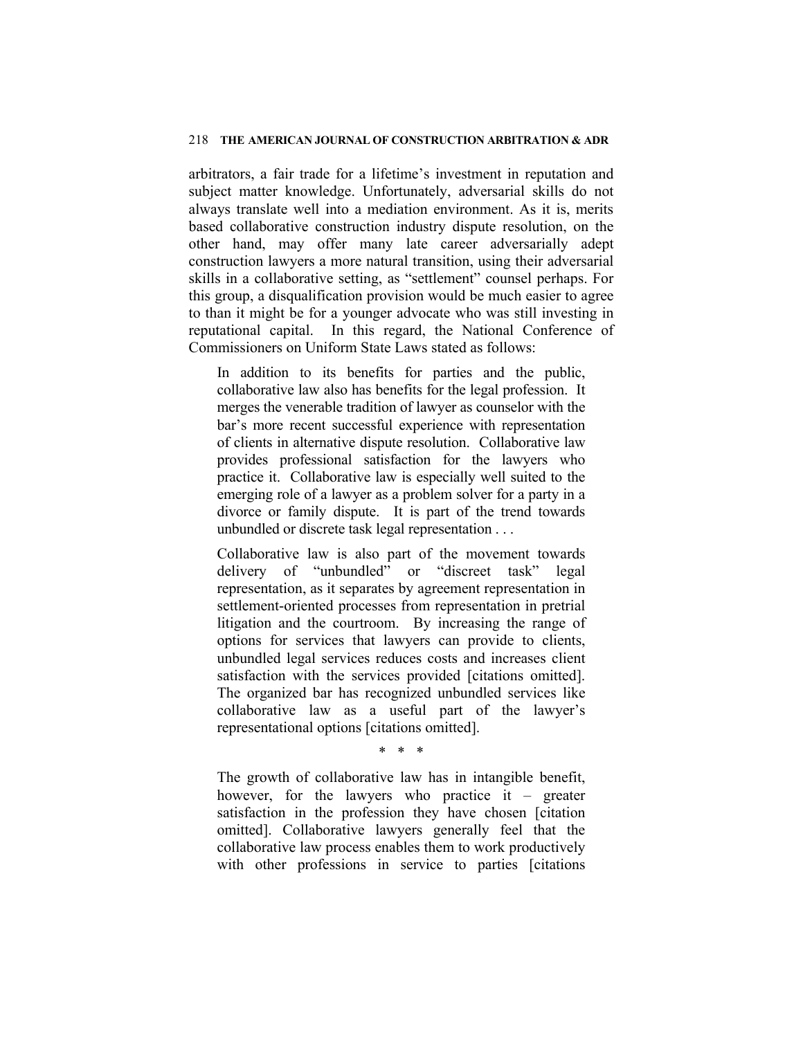arbitrators, a fair trade for a lifetime's investment in reputation and subject matter knowledge. Unfortunately, adversarial skills do not always translate well into a mediation environment. As it is, merits based collaborative construction industry dispute resolution, on the other hand, may offer many late career adversarially adept construction lawyers a more natural transition, using their adversarial skills in a collaborative setting, as "settlement" counsel perhaps. For this group, a disqualification provision would be much easier to agree to than it might be for a younger advocate who was still investing in reputational capital. In this regard, the National Conference of Commissioners on Uniform State Laws stated as follows:

In addition to its benefits for parties and the public, collaborative law also has benefits for the legal profession. It merges the venerable tradition of lawyer as counselor with the bar's more recent successful experience with representation of clients in alternative dispute resolution. Collaborative law provides professional satisfaction for the lawyers who practice it. Collaborative law is especially well suited to the emerging role of a lawyer as a problem solver for a party in a divorce or family dispute. It is part of the trend towards unbundled or discrete task legal representation . . .

Collaborative law is also part of the movement towards delivery of "unbundled" or "discreet task" legal representation, as it separates by agreement representation in settlement-oriented processes from representation in pretrial litigation and the courtroom. By increasing the range of options for services that lawyers can provide to clients, unbundled legal services reduces costs and increases client satisfaction with the services provided [citations omitted]. The organized bar has recognized unbundled services like collaborative law as a useful part of the lawyer's representational options [citations omitted].

\* \* \*

The growth of collaborative law has in intangible benefit, however, for the lawyers who practice it – greater satisfaction in the profession they have chosen [citation omitted]. Collaborative lawyers generally feel that the collaborative law process enables them to work productively with other professions in service to parties [citations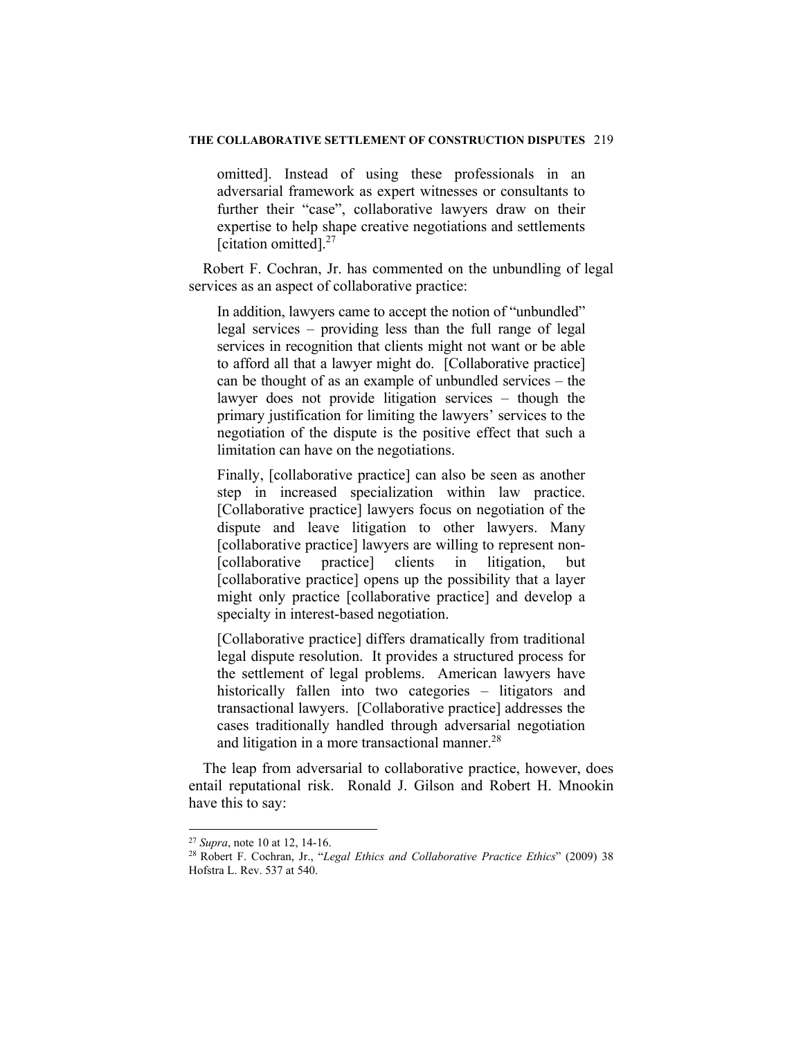omitted]. Instead of using these professionals in an adversarial framework as expert witnesses or consultants to further their "case", collaborative lawyers draw on their expertise to help shape creative negotiations and settlements [citation omitted]. $27$ 

Robert F. Cochran, Jr. has commented on the unbundling of legal services as an aspect of collaborative practice:

In addition, lawyers came to accept the notion of "unbundled" legal services – providing less than the full range of legal services in recognition that clients might not want or be able to afford all that a lawyer might do. [Collaborative practice] can be thought of as an example of unbundled services – the lawyer does not provide litigation services – though the primary justification for limiting the lawyers' services to the negotiation of the dispute is the positive effect that such a limitation can have on the negotiations.

Finally, [collaborative practice] can also be seen as another step in increased specialization within law practice. [Collaborative practice] lawyers focus on negotiation of the dispute and leave litigation to other lawyers. Many [collaborative practice] lawyers are willing to represent non- [collaborative practice] clients in litigation, but [collaborative practice] opens up the possibility that a layer might only practice [collaborative practice] and develop a specialty in interest-based negotiation.

[Collaborative practice] differs dramatically from traditional legal dispute resolution. It provides a structured process for the settlement of legal problems. American lawyers have historically fallen into two categories – litigators and transactional lawyers. [Collaborative practice] addresses the cases traditionally handled through adversarial negotiation and litigation in a more transactional manner.<sup>28</sup>

The leap from adversarial to collaborative practice, however, does entail reputational risk. Ronald J. Gilson and Robert H. Mnookin have this to say:

<sup>&</sup>lt;sup>27</sup> *Supra*, note 10 at 12, 14-16.<br><sup>28</sup> Robert F. Cochran, Jr., "*Legal Ethics and Collaborative Practice Ethics*" (2009) 38 Hofstra L. Rev. 537 at 540.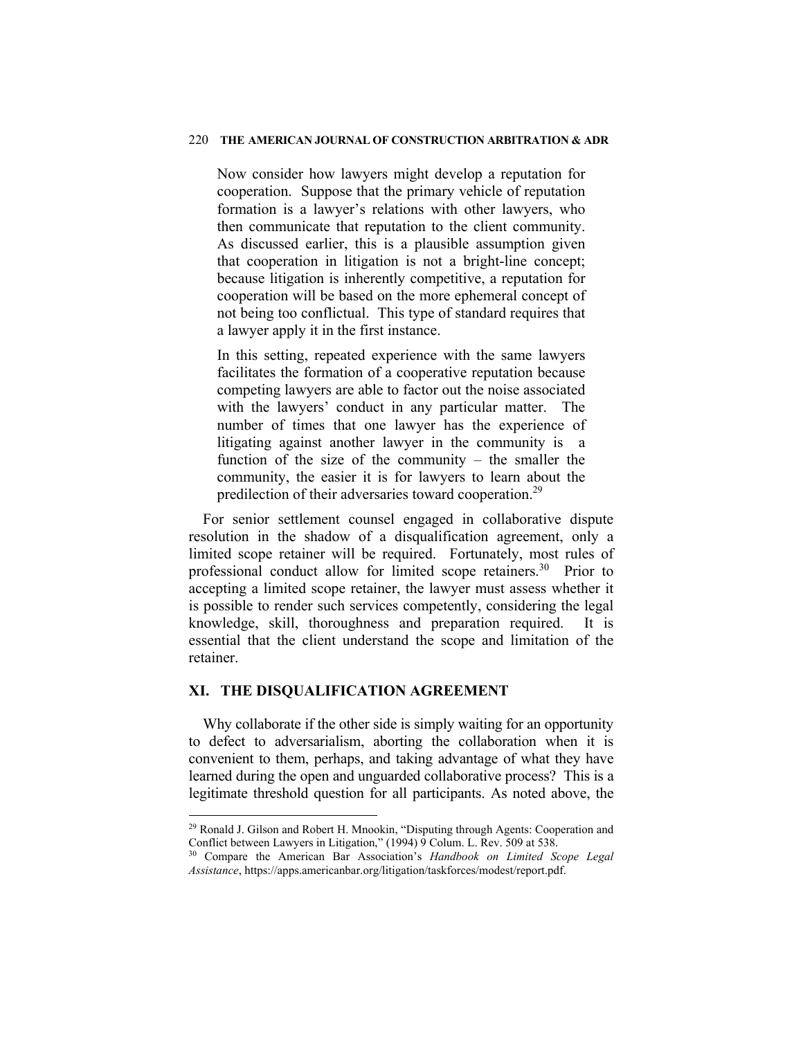Now consider how lawyers might develop a reputation for cooperation. Suppose that the primary vehicle of reputation formation is a lawyer's relations with other lawyers, who then communicate that reputation to the client community. As discussed earlier, this is a plausible assumption given that cooperation in litigation is not a bright-line concept; because litigation is inherently competitive, a reputation for cooperation will be based on the more ephemeral concept of not being too conflictual. This type of standard requires that a lawyer apply it in the first instance.

In this setting, repeated experience with the same lawyers facilitates the formation of a cooperative reputation because competing lawyers are able to factor out the noise associated with the lawyers' conduct in any particular matter. The number of times that one lawyer has the experience of litigating against another lawyer in the community is a function of the size of the community – the smaller the community, the easier it is for lawyers to learn about the predilection of their adversaries toward cooperation.<sup>29</sup>

For senior settlement counsel engaged in collaborative dispute resolution in the shadow of a disqualification agreement, only a limited scope retainer will be required. Fortunately, most rules of professional conduct allow for limited scope retainers.<sup>30</sup> Prior to accepting a limited scope retainer, the lawyer must assess whether it is possible to render such services competently, considering the legal knowledge, skill, thoroughness and preparation required. It is essential that the client understand the scope and limitation of the retainer.

## **XI. THE DISQUALIFICATION AGREEMENT**

 $\overline{a}$ 

Why collaborate if the other side is simply waiting for an opportunity to defect to adversarialism, aborting the collaboration when it is convenient to them, perhaps, and taking advantage of what they have learned during the open and unguarded collaborative process? This is a legitimate threshold question for all participants. As noted above, the

<sup>&</sup>lt;sup>29</sup> Ronald J. Gilson and Robert H. Mnookin, "Disputing through Agents: Cooperation and Conflict between Lawyers in Litigation," (1994) 9 Colum. L. Rev. 509 at 538.

<sup>30</sup> Compare the American Bar Association's *Handbook on Limited Scope Legal Assistance*, https://apps.americanbar.org/litigation/taskforces/modest/report.pdf.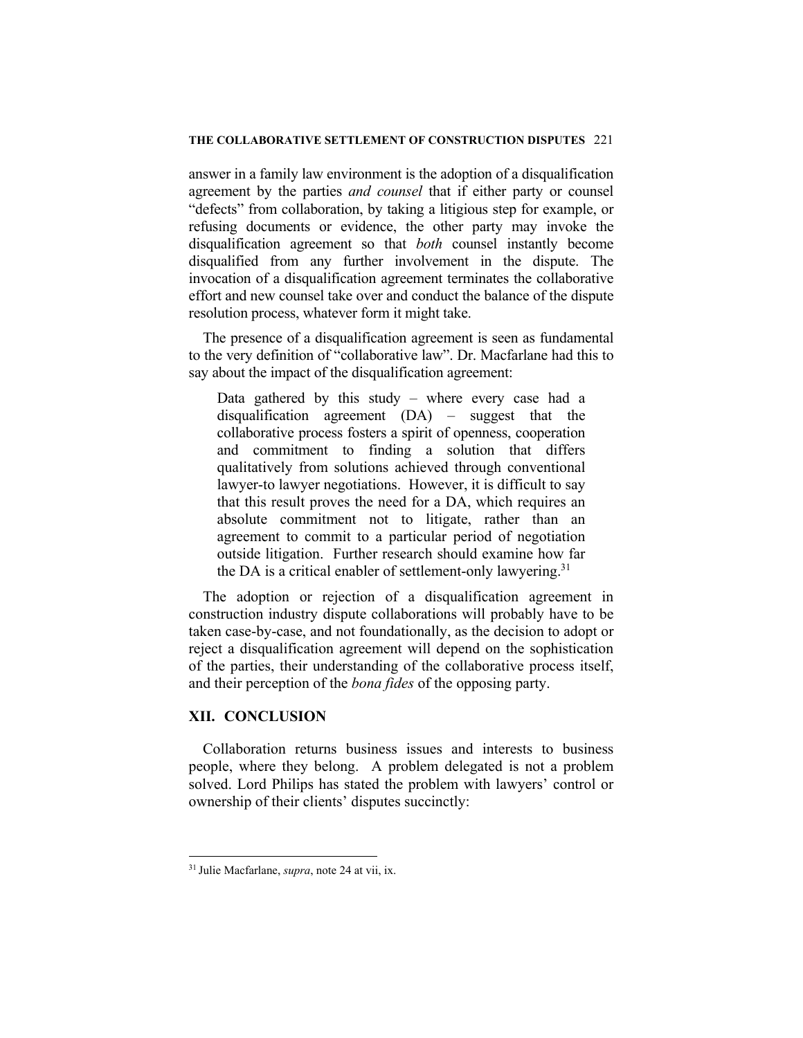answer in a family law environment is the adoption of a disqualification agreement by the parties *and counsel* that if either party or counsel "defects" from collaboration, by taking a litigious step for example, or refusing documents or evidence, the other party may invoke the disqualification agreement so that *both* counsel instantly become disqualified from any further involvement in the dispute. The invocation of a disqualification agreement terminates the collaborative effort and new counsel take over and conduct the balance of the dispute resolution process, whatever form it might take.

The presence of a disqualification agreement is seen as fundamental to the very definition of "collaborative law". Dr. Macfarlane had this to say about the impact of the disqualification agreement:

Data gathered by this study – where every case had a disqualification agreement (DA) – suggest that the collaborative process fosters a spirit of openness, cooperation and commitment to finding a solution that differs qualitatively from solutions achieved through conventional lawyer-to lawyer negotiations. However, it is difficult to say that this result proves the need for a DA, which requires an absolute commitment not to litigate, rather than an agreement to commit to a particular period of negotiation outside litigation. Further research should examine how far the DA is a critical enabler of settlement-only lawyering.<sup>31</sup>

The adoption or rejection of a disqualification agreement in construction industry dispute collaborations will probably have to be taken case-by-case, and not foundationally, as the decision to adopt or reject a disqualification agreement will depend on the sophistication of the parties, their understanding of the collaborative process itself, and their perception of the *bona fides* of the opposing party.

## **XII. CONCLUSION**

-

Collaboration returns business issues and interests to business people, where they belong. A problem delegated is not a problem solved. Lord Philips has stated the problem with lawyers' control or ownership of their clients' disputes succinctly:

<sup>31</sup> Julie Macfarlane, *supra*, note 24 at vii, ix.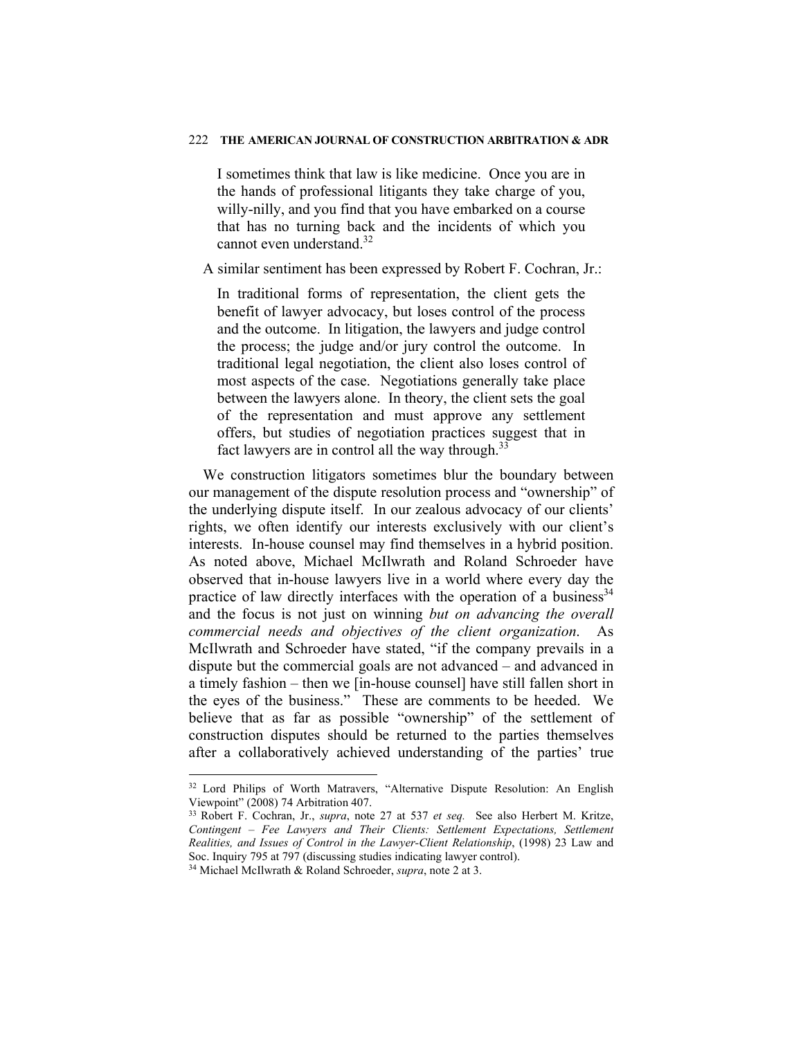I sometimes think that law is like medicine. Once you are in the hands of professional litigants they take charge of you, willy-nilly, and you find that you have embarked on a course that has no turning back and the incidents of which you cannot even understand.<sup>32</sup>

A similar sentiment has been expressed by Robert F. Cochran, Jr.:

In traditional forms of representation, the client gets the benefit of lawyer advocacy, but loses control of the process and the outcome. In litigation, the lawyers and judge control the process; the judge and/or jury control the outcome. In traditional legal negotiation, the client also loses control of most aspects of the case. Negotiations generally take place between the lawyers alone. In theory, the client sets the goal of the representation and must approve any settlement offers, but studies of negotiation practices suggest that in fact lawyers are in control all the way through. $33$ 

We construction litigators sometimes blur the boundary between our management of the dispute resolution process and "ownership" of the underlying dispute itself. In our zealous advocacy of our clients' rights, we often identify our interests exclusively with our client's interests. In-house counsel may find themselves in a hybrid position. As noted above, Michael McIlwrath and Roland Schroeder have observed that in-house lawyers live in a world where every day the practice of law directly interfaces with the operation of a business<sup>34</sup> and the focus is not just on winning *but on advancing the overall commercial needs and objectives of the client organization*. As McIlwrath and Schroeder have stated, "if the company prevails in a dispute but the commercial goals are not advanced – and advanced in a timely fashion – then we [in-house counsel] have still fallen short in the eyes of the business." These are comments to be heeded. We believe that as far as possible "ownership" of the settlement of construction disputes should be returned to the parties themselves after a collaboratively achieved understanding of the parties' true

<sup>&</sup>lt;sup>32</sup> Lord Philips of Worth Matravers, "Alternative Dispute Resolution: An English Viewpoint" (2008) 74 Arbitration 407.

<sup>33</sup> Robert F. Cochran, Jr., *supra*, note 27 at 537 *et seq.* See also Herbert M. Kritze, *Contingent – Fee Lawyers and Their Clients: Settlement Expectations, Settlement Realities, and Issues of Control in the Lawyer-Client Relationship*, (1998) 23 Law and Soc. Inquiry 795 at 797 (discussing studies indicating lawyer control).

<sup>&</sup>lt;sup>34</sup> Michael McIlwrath & Roland Schroeder, *supra*, note 2 at 3.